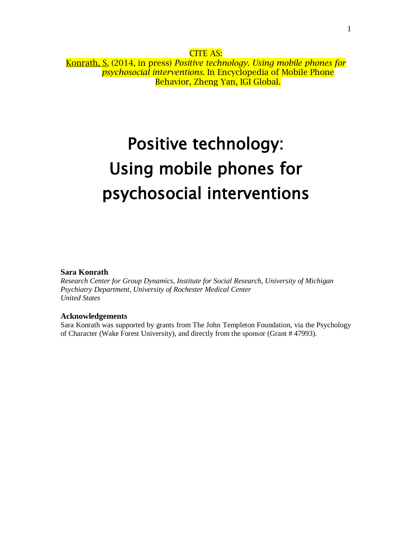CITE AS: Konrath, S. (2014, in press) *Positive technology. Using mobile phones for psychosocial interventions.* In Encyclopedia of Mobile Phone Behavior, Zheng Yan, IGI Global.

# Positive technology: Using mobile phones for psychosocial interventions

#### **Sara Konrath**

*Research Center for Group Dynamics, Institute for Social Research, University of Michigan Psychiatry Department, University of Rochester Medical Center United States*

#### **Acknowledgements**

Sara Konrath was supported by grants from The John Templeton Foundation, via the Psychology of Character (Wake Forest University), and directly from the sponsor (Grant # 47993).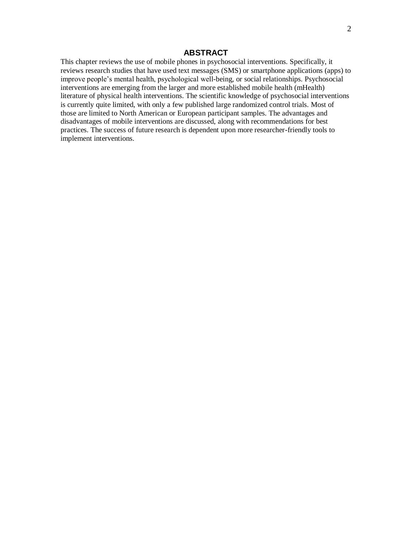# **ABSTRACT**

This chapter reviews the use of mobile phones in psychosocial interventions. Specifically, it reviews research studies that have used text messages (SMS) or smartphone applications (apps) to improve people's mental health, psychological well-being, or social relationships. Psychosocial interventions are emerging from the larger and more established mobile health (mHealth) literature of physical health interventions. The scientific knowledge of psychosocial interventions is currently quite limited, with only a few published large randomized control trials. Most of those are limited to North American or European participant samples. The advantages and disadvantages of mobile interventions are discussed, along with recommendations for best practices. The success of future research is dependent upon more researcher-friendly tools to implement interventions.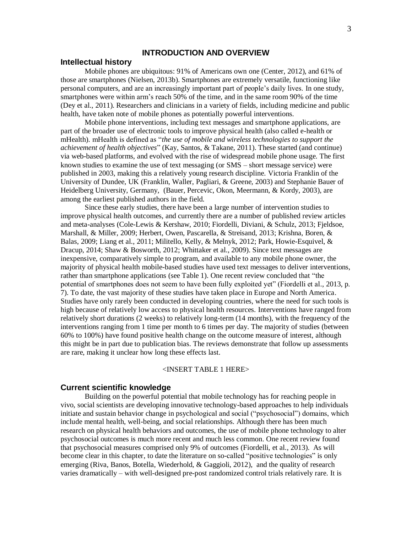# **INTRODUCTION AND OVERVIEW**

#### **Intellectual history**

Mobile phones are ubiquitous: 91% of Americans own one [\(Center, 2012\)](#page-21-0), and 61% of those are smartphones [\(Nielsen, 2013b\)](#page-24-0). Smartphones are extremely versatile, functioning like personal computers, and are an increasingly important part of people's daily lives. In one study, smartphones were within arm's reach 50% of the time, and in the same room 90% of the time [\(Dey et al., 2011\)](#page-22-0). Researchers and clinicians in a variety of fields, including medicine and public health, have taken note of mobile phones as potentially powerful interventions.

Mobile phone interventions, including text messages and smartphone applications, are part of the broader use of electronic tools to improve physical health (also called e-health or mHealth). mHealth is defined as "*the use of mobile and wireless technologies to support the achievement of health objectives*" [\(Kay, Santos, & Takane, 2011\)](#page-23-0). These started (and continue) via web-based platforms, and evolved with the rise of widespread mobile phone usage. The first known studies to examine the use of text messaging (or SMS – short message service) were published in 2003, making this a relatively young research discipline. Victoria Franklin of the University of Dundee, UK [\(Franklin, Waller, Pagliari, & Greene, 2003\)](#page-22-1) and Stephanie Bauer of Heidelberg University, Germany, [\(Bauer, Percevic, Okon, Meermann, & Kordy, 2003\)](#page-21-1), are among the earliest published authors in the field.

Since these early studies, there have been a large number of intervention studies to improve physical health outcomes, and currently there are a number of published review articles and meta-analyses [\(Cole-Lewis & Kershaw, 2010;](#page-21-2) [Fiordelli, Diviani, & Schulz, 2013;](#page-22-2) [Fjeldsoe,](#page-22-3)  [Marshall, & Miller, 2009;](#page-22-3) [Herbert, Owen, Pascarella, & Streisand, 2013;](#page-23-1) [Krishna, Boren, &](#page-23-2)  [Balas, 2009;](#page-23-2) [Liang et al., 2011;](#page-23-3) [Militello, Kelly, & Melnyk, 2012;](#page-24-1) [Park, Howie-Esquivel, &](#page-24-2)  [Dracup, 2014;](#page-24-2) [Shaw & Bosworth, 2012;](#page-25-0) [Whittaker et al., 2009\)](#page-25-1). Since text messages are inexpensive, comparatively simple to program, and available to any mobile phone owner, the majority of physical health mobile-based studies have used text messages to deliver interventions, rather than smartphone applications (see Table 1). One recent review concluded that "the potential of smartphones does not seem to have been fully exploited yet" (Fiordelli et al., 2013, p. 7). To date, the vast majority of these studies have taken place in Europe and North America. Studies have only rarely been conducted in developing countries, where the need for such tools is high because of relatively low access to physical health resources. Interventions have ranged from relatively short durations (2 weeks) to relatively long-term (14 months), with the frequency of the interventions ranging from 1 time per month to 6 times per day. The majority of studies (between 60% to 100%) have found positive health change on the outcome measure of interest, although this might be in part due to publication bias. The reviews demonstrate that follow up assessments are rare, making it unclear how long these effects last.

#### <INSERT TABLE 1 HERE>

#### **Current scientific knowledge**

Building on the powerful potential that mobile technology has for reaching people in vivo, social scientists are developing innovative technology-based approaches to help individuals initiate and sustain behavior change in psychological and social ("psychosocial") domains, which include mental health, well-being, and social relationships. Although there has been much research on physical health behaviors and outcomes, the use of mobile phone technology to alter psychosocial outcomes is much more recent and much less common. One recent review found that psychosocial measures comprised only 9% of outcomes [\(Fiordelli, et al., 2013\)](#page-22-2). As will become clear in this chapter, to date the literature on so-called "positive technologies" is only emerging [\(Riva, Banos, Botella, Wiederhold, & Gaggioli, 2012\)](#page-25-2), and the quality of research varies dramatically – with well-designed pre-post randomized control trials relatively rare. It is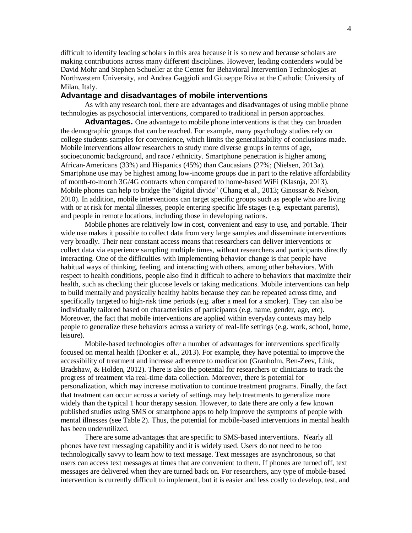difficult to identify leading scholars in this area because it is so new and because scholars are making contributions across many different disciplines. However, leading contenders would be David Mohr and Stephen Schueller at the Center for Behavioral Intervention Technologies at Northwestern University, and Andrea Gaggioli and Giuseppe Riva at the Catholic University of Milan, Italy.

#### **Advantage and disadvantages of mobile interventions**

As with any research tool, there are advantages and disadvantages of using mobile phone technologies as psychosocial interventions, compared to traditional in person approaches.

**Advantages.** One advantage to mobile phone interventions is that they can broaden the demographic groups that can be reached. For example, many psychology studies rely on college students samples for convenience, which limits the generalizability of conclusions made. Mobile interventions allow researchers to study more diverse groups in terms of age, socioeconomic background, and race / ethnicity. Smartphone penetration is higher among African-Americans (33%) and Hispanics (45%) than Caucasians (27%; [\(Nielsen, 2013a\)](#page-24-3). Smartphone use may be highest among low-income groups due in part to the relative affordability of month-to-month 3G/4G contracts when compared to home-based WiFi [\(Klasnja, 2013\)](#page-23-4). Mobile phones can help to bridge the "digital divide" [\(Chang et al., 2013;](#page-21-3) Ginossar & Nelson, [2010\)](#page-22-4). In addition, mobile interventions can target specific groups such as people who are living with or at risk for mental illnesses, people entering specific life stages (e.g. expectant parents), and people in remote locations, including those in developing nations.

Mobile phones are relatively low in cost, convenient and easy to use, and portable. Their wide use makes it possible to collect data from very large samples and disseminate interventions very broadly. Their near constant access means that researchers can deliver interventions or collect data via experience sampling multiple times, without researchers and participants directly interacting. One of the difficulties with implementing behavior change is that people have habitual ways of thinking, feeling, and interacting with others, among other behaviors. With respect to health conditions, people also find it difficult to adhere to behaviors that maximize their health, such as checking their glucose levels or taking medications. Mobile interventions can help to build mentally and physically healthy habits because they can be repeated across time, and specifically targeted to high-risk time periods (e.g. after a meal for a smoker). They can also be individually tailored based on characteristics of participants (e.g. name, gender, age, etc). Moreover, the fact that mobile interventions are applied within everyday contexts may help people to generalize these behaviors across a variety of real-life settings (e.g. work, school, home, leisure).

Mobile-based technologies offer a number of advantages for interventions specifically focused on mental health [\(Donker et al., 2013\)](#page-22-5). For example, they have potential to improve the accessibility of treatment and increase adherence to medication [\(Granholm, Ben-Zeev, Link,](#page-22-6)  [Bradshaw, & Holden, 2012\)](#page-22-6). There is also the potential for researchers or clinicians to track the progress of treatment via real-time data collection. Moreover, there is potential for personalization, which may increase motivation to continue treatment programs. Finally, the fact that treatment can occur across a variety of settings may help treatments to generalize more widely than the typical 1 hour therapy session. However, to date there are only a few known published studies using SMS or smartphone apps to help improve the symptoms of people with mental illnesses (see Table 2). Thus, the potential for mobile-based interventions in mental health has been underutilized.

There are some advantages that are specific to SMS-based interventions. Nearly all phones have text messaging capability and it is widely used. Users do not need to be too technologically savvy to learn how to text message. Text messages are asynchronous, so that users can access text messages at times that are convenient to them. If phones are turned off, text messages are delivered when they are turned back on. For researchers, any type of mobile-based intervention is currently difficult to implement, but it is easier and less costly to develop, test, and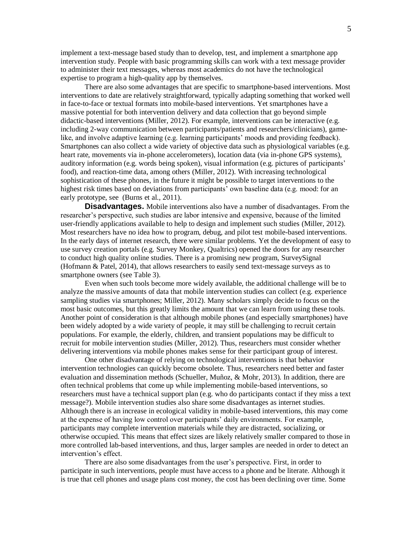implement a text-message based study than to develop, test, and implement a smartphone app intervention study. People with basic programming skills can work with a text message provider to administer their text messages, whereas most academics do not have the technological expertise to program a high-quality app by themselves.

There are also some advantages that are specific to smartphone-based interventions. Most interventions to date are relatively straightforward, typically adapting something that worked well in face-to-face or textual formats into mobile-based interventions. Yet smartphones have a massive potential for both intervention delivery and data collection that go beyond simple didactic-based interventions [\(Miller, 2012\)](#page-24-4). For example, interventions can be interactive (e.g. including 2-way communication between participants/patients and researchers/clinicians), gamelike, and involve adaptive learning (e.g. learning participants' moods and providing feedback). Smartphones can also collect a wide variety of objective data such as physiological variables (e.g. heart rate, movements via in-phone accelerometers), location data (via in-phone GPS systems), auditory information (e.g. words being spoken), visual information (e.g. pictures of participants' food), and reaction-time data, among others [\(Miller, 2012\)](#page-24-4). With increasing technological sophistication of these phones, in the future it might be possible to target interventions to the highest risk times based on deviations from participants' own baseline data (e.g. mood: for an early prototype, see (Burns et [al., 2011\)](#page-21-4).

**Disadvantages.** Mobile interventions also have a number of disadvantages. From the researcher's perspective, such studies are labor intensive and expensive, because of the limited user-friendly applications available to help to design and implement such studies [\(Miller, 2012\)](#page-24-4). Most researchers have no idea how to program, debug, and pilot test mobile-based interventions. In the early days of internet research, there were similar problems. Yet the development of easy to use survey creation portals (e.g. Survey Monkey, Qualtrics) opened the doors for any researcher to conduct high quality online studies. There is a promising new program, SurveySignal [\(Hofmann & Patel, 2014\)](#page-23-5), that allows researchers to easily send text-message surveys as to smartphone owners (see Table 3).

Even when such tools become more widely available, the additional challenge will be to analyze the massive amounts of data that mobile intervention studies can collect (e.g. experience sampling studies via smartphones; Miller, 2012). Many scholars simply decide to focus on the most basic outcomes, but this greatly limits the amount that we can learn from using these tools. Another point of consideration is that although mobile phones (and especially smartphones) have been widely adopted by a wide variety of people, it may still be challenging to recruit certain populations. For example, the elderly, children, and transient populations may be difficult to recruit for mobile intervention studies [\(Miller, 2012\)](#page-24-4). Thus, researchers must consider whether delivering interventions via mobile phones makes sense for their participant group of interest.

One other disadvantage of relying on technological interventions is that behavior intervention technologies can quickly become obsolete. Thus, researchers need better and faster evaluation and dissemination methods [\(Schueller, Muñoz, & Mohr, 2013\)](#page-25-3). In addition, there are often technical problems that come up while implementing mobile-based interventions, so researchers must have a technical support plan (e.g. who do participants contact if they miss a text message?). Mobile intervention studies also share some disadvantages as internet studies. Although there is an increase in ecological validity in mobile-based interventions, this may come at the expense of having low control over participants' daily environments. For example, participants may complete intervention materials while they are distracted, socializing, or otherwise occupied. This means that effect sizes are likely relatively smaller compared to those in more controlled lab-based interventions, and thus, larger samples are needed in order to detect an intervention's effect.

There are also some disadvantages from the user's perspective. First, in order to participate in such interventions, people must have access to a phone and be literate. Although it is true that cell phones and usage plans cost money, the cost has been declining over time. Some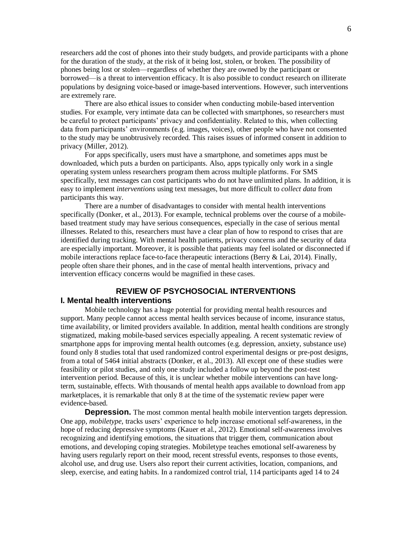researchers add the cost of phones into their study budgets, and provide participants with a phone for the duration of the study, at the risk of it being lost, stolen, or broken. The possibility of phones being lost or stolen—regardless of whether they are owned by the participant or borrowed—is a threat to intervention efficacy. It is also possible to conduct research on illiterate populations by designing voice-based or image-based interventions. However, such interventions are extremely rare.

There are also ethical issues to consider when conducting mobile-based intervention studies. For example, very intimate data can be collected with smartphones, so researchers must be careful to protect participants' privacy and confidentiality. Related to this, when collecting data from participants' environments (e.g. images, voices), other people who have not consented to the study may be unobtrusively recorded. This raises issues of informed consent in addition to privacy [\(Miller, 2012\)](#page-24-4).

For apps specifically, users must have a smartphone, and sometimes apps must be downloaded, which puts a burden on participants. Also, apps typically only work in a single operating system unless researchers program them across multiple platforms. For SMS specifically, text messages can cost participants who do not have unlimited plans. In addition, it is easy to implement *interventions* using text messages, but more difficult to *collect data* from participants this way.

There are a number of disadvantages to consider with mental health interventions specifically [\(Donker, et al., 2013\)](#page-22-5). For example, technical problems over the course of a mobilebased treatment study may have serious consequences, especially in the case of serious mental illnesses. Related to this, researchers must have a clear plan of how to respond to crises that are identified during tracking. With mental health patients, privacy concerns and the security of data are especially important. Moreover, it is possible that patients may feel isolated or disconnected if mobile interactions replace face-to-face therapeutic interactions [\(Berry & Lai, 2014\)](#page-21-5). Finally, people often share their phones, and in the case of mental health interventions, privacy and intervention efficacy concerns would be magnified in these cases.

# **REVIEW OF PSYCHOSOCIAL INTERVENTIONS**

#### **I. Mental health interventions**

Mobile technology has a huge potential for providing mental health resources and support. Many people cannot access mental health services because of income, insurance status, time availability, or limited providers available. In addition, mental health conditions are strongly stigmatized, making mobile-based services especially appealing. A recent systematic review of smartphone apps for improving mental health outcomes (e.g. depression, anxiety, substance use) found only 8 studies total that used randomized control experimental designs or pre-post designs, from a total of 5464 initial abstracts [\(Donker, et al., 2013\)](#page-22-5). All except one of these studies were feasibility or pilot studies, and only one study included a follow up beyond the post-test intervention period. Because of this, it is unclear whether mobile interventions can have longterm, sustainable, effects. With thousands of mental health apps available to download from app marketplaces, it is remarkable that only 8 at the time of the systematic review paper were evidence-based.

**Depression.** The most common mental health mobile intervention targets depression. One app, *mobiletype*, tracks users' experience to help increase emotional self-awareness, in the hope of reducing depressive symptoms [\(Kauer et al., 2012\)](#page-23-6). Emotional self-awareness involves recognizing and identifying emotions, the situations that trigger them, communication about emotions, and developing coping strategies. Mobiletype teaches emotional self-awareness by having users regularly report on their mood, recent stressful events, responses to those events, alcohol use, and drug use. Users also report their current activities, location, companions, and sleep, exercise, and eating habits. In a randomized control trial, 114 participants aged 14 to 24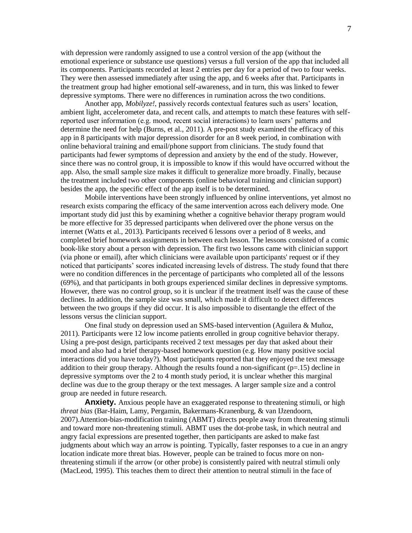with depression were randomly assigned to use a control version of the app (without the emotional experience or substance use questions) versus a full version of the app that included all its components. Participants recorded at least 2 entries per day for a period of two to four weeks. They were then assessed immediately after using the app, and 6 weeks after that. Participants in the treatment group had higher emotional self-awareness, and in turn, this was linked to fewer depressive symptoms. There were no differences in rumination across the two conditions.

Another app, *Mobilyze!*, passively records contextual features such as users' location, ambient light, accelerometer data, and recent calls, and attempts to match these features with selfreported user information (e.g. mood, recent social interactions) to learn users' patterns and determine the need for help [\(Burns, et al., 2011\)](#page-21-4). A pre-post study examined the efficacy of this app in 8 participants with major depression disorder for an 8 week period, in combination with online behavioral training and email/phone support from clinicians. The study found that participants had fewer symptoms of depression and anxiety by the end of the study. However, since there was no control group, it is impossible to know if this would have occurred without the app. Also, the small sample size makes it difficult to generalize more broadly. Finally, because the treatment included two other components (online behavioral training and clinician support) besides the app, the specific effect of the app itself is to be determined.

Mobile interventions have been strongly influenced by online interventions, yet almost no research exists comparing the efficacy of the same intervention across each delivery mode. One important study did just this by examining whether a cognitive behavior therapy program would be more effective for 35 depressed participants when delivered over the phone versus on the internet [\(Watts et al., 2013\)](#page-25-4). Participants received 6 lessons over a period of 8 weeks, and completed brief homework assignments in between each lesson. The lessons consisted of a comic book-like story about a person with depression. The first two lessons came with clinician support (via phone or email), after which clinicians were available upon participants' request or if they noticed that participants' scores indicated increasing levels of distress. The study found that there were no condition differences in the percentage of participants who completed all of the lessons (69%), and that participants in both groups experienced similar declines in depressive symptoms. However, there was no control group, so it is unclear if the treatment itself was the cause of these declines. In addition, the sample size was small, which made it difficult to detect differences between the two groups if they did occur. It is also impossible to disentangle the effect of the lessons versus the clinician support.

One final study on depression used an SMS-based intervention [\(Aguilera & Muñoz,](#page-21-6)  [2011\)](#page-21-6). Participants were 12 low income patients enrolled in group cognitive behavior therapy. Using a pre-post design, participants received 2 text messages per day that asked about their mood and also had a brief therapy-based homework question (e.g. How many positive social interactions did you have today?). Most participants reported that they enjoyed the text message addition to their group therapy. Although the results found a non-significant ( $p=15$ ) decline in depressive symptoms over the 2 to 4 month study period, it is unclear whether this marginal decline was due to the group therapy or the text messages. A larger sample size and a control group are needed in future research.

**Anxiety.** Anxious people have an exaggerated response to threatening stimuli, or high *threat bias* [\(Bar-Haim, Lamy, Pergamin, Bakermans-Kranenburg, & van IJzendoorn,](#page-21-7)  [2007\)](#page-21-7).Attention-bias-modification training (ABMT) directs people away from threatening stimuli and toward more non-threatening stimuli. ABMT uses the dot-probe task, in which neutral and angry facial expressions are presented together, then participants are asked to make fast judgments about which way an arrow is pointing. Typically, faster responses to a cue in an angry location indicate more threat bias. However, people can be trained to focus more on nonthreatening stimuli if the arrow (or other probe) is consistently paired with neutral stimuli only [\(MacLeod, 1995\)](#page-24-5). This teaches them to direct their attention to neutral stimuli in the face of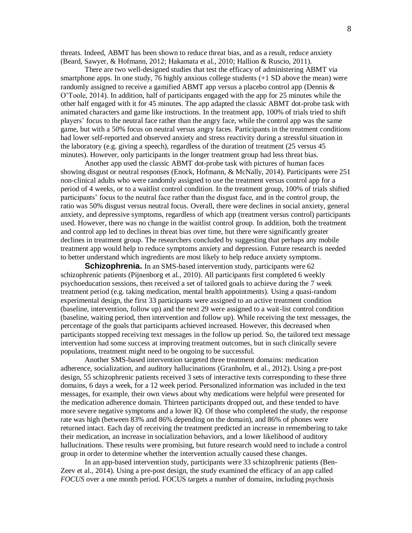threats. Indeed, ABMT has been shown to reduce threat bias, and as a result, reduce anxiety [\(Beard, Sawyer, & Hofmann, 2012;](#page-21-8) [Hakamata et al., 2010;](#page-22-7) [Hallion & Ruscio, 2011\)](#page-22-8).

There are two well-designed studies that test the efficacy of administering ABMT via smartphone apps. In one study, 76 highly anxious college students (+1 SD above the mean) were randomly assigned to receive a gamified ABMT app versus a placebo control app (Dennis  $\&$ [O'Toole, 2014\)](#page-22-9). In addition, half of participants engaged with the app for 25 minutes while the other half engaged with it for 45 minutes. The app adapted the classic ABMT dot-probe task with animated characters and game like instructions. In the treatment app, 100% of trials tried to shift players' focus to the neutral face rather than the angry face, while the control app was the same game, but with a 50% focus on neutral versus angry faces. Participants in the treatment conditions had lower self-reported and observed anxiety and stress reactivity during a stressful situation in the laboratory (e.g. giving a speech), regardless of the duration of treatment (25 versus 45 minutes). However, only participants in the longer treatment group had less threat bias.

Another app used the classic ABMT dot-probe task with pictures of human faces showing disgust or neutral responses [\(Enock, Hofmann, & McNally, 2014\)](#page-22-10). Participants were 251 non-clinical adults who were randomly assigned to use the treatment versus control app for a period of 4 weeks, or to a waitlist control condition. In the treatment group, 100% of trials shifted participants' focus to the neutral face rather than the disgust face, and in the control group, the ratio was 50% disgust versus neutral focus. Overall, there were declines in social anxiety, general anxiety, and depressive symptoms, regardless of which app (treatment versus control) participants used. However, there was no change in the waitlist control group. In addition, both the treatment and control app led to declines in threat bias over time, but there were significantly greater declines in treatment group. The researchers concluded by suggesting that perhaps any mobile treatment app would help to reduce symptoms anxiety and depression. Future research is needed to better understand which ingredients are most likely to help reduce anxiety symptoms.

**Schizophrenia.** In an SMS-based intervention study, participants were 62 schizophrenic patients [\(Pijnenborg et al., 2010\)](#page-24-6). All participants first completed 6 weekly psychoeducation sessions, then received a set of tailored goals to achieve during the 7 week treatment period (e.g. taking medication, mental health appointments). Using a quasi-random experimental design, the first 33 participants were assigned to an active treatment condition (baseline, intervention, follow up) and the next 29 were assigned to a wait-list control condition (baseline, waiting period, then intervention and follow up). While receiving the text messages, the percentage of the goals that participants achieved increased. However, this decreased when participants stopped receiving text messages in the follow up period. So, the tailored text message intervention had some success at improving treatment outcomes, but in such clinically severe populations, treatment might need to be ongoing to be successful.

Another SMS-based intervention targeted three treatment domains: medication adherence, socialization, and auditory hallucinations [\(Granholm, et al., 2012\)](#page-22-6). Using a pre-post design, 55 schizophrenic patients received 3 sets of interactive texts corresponding to these three domains, 6 days a week, for a 12 week period. Personalized information was included in the text messages, for example, their own views about why medications were helpful were presented for the medication adherence domain. Thirteen participants dropped out, and these tended to have more severe negative symptoms and a lower IQ. Of those who completed the study, the response rate was high (between 83% and 86% depending on the domain), and 86% of phones were returned intact. Each day of receiving the treatment predicted an increase in remembering to take their medication, an increase in socialization behaviors, and a lower likelihood of auditory hallucinations. These results were promising, but future research would need to include a control group in order to determine whether the intervention actually caused these changes.

In an app-based intervention study, participants were 33 schizophrenic patients [\(Ben-](#page-21-9)[Zeev et al., 2014\)](#page-21-9). Using a pre-post design, the study examined the efficacy of an app called *FOCUS* over a one month period. FOCUS targets a number of domains, including psychosis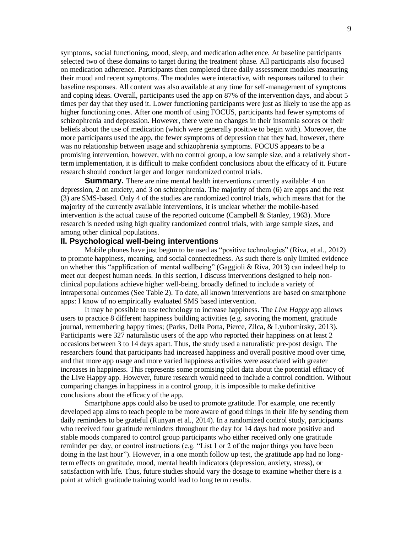symptoms, social functioning, mood, sleep, and medication adherence. At baseline participants selected two of these domains to target during the treatment phase. All participants also focused on medication adherence. Participants then completed three daily assessment modules measuring their mood and recent symptoms. The modules were interactive, with responses tailored to their baseline responses. All content was also available at any time for self-management of symptoms and coping ideas. Overall, participants used the app on 87% of the intervention days, and about 5 times per day that they used it. Lower functioning participants were just as likely to use the app as higher functioning ones. After one month of using FOCUS, participants had fewer symptoms of schizophrenia and depression. However, there were no changes in their insomnia scores or their beliefs about the use of medication (which were generally positive to begin with). Moreover, the more participants used the app, the fewer symptoms of depression that they had, however, there was no relationship between usage and schizophrenia symptoms. FOCUS appears to be a promising intervention, however, with no control group, a low sample size, and a relatively shortterm implementation, it is difficult to make confident conclusions about the efficacy of it. Future research should conduct larger and longer randomized control trials.

**Summary.** There are nine mental health interventions currently available: 4 on depression, 2 on anxiety, and 3 on schizophrenia. The majority of them (6) are apps and the rest (3) are SMS-based. Only 4 of the studies are randomized control trials, which means that for the majority of the currently available interventions, it is unclear whether the mobile-based intervention is the actual cause of the reported outcome [\(Campbell & Stanley, 1963\)](#page-21-10). More research is needed using high quality randomized control trials, with large sample sizes, and among other clinical populations.

# **II. Psychological well-being interventions**

Mobile phones have just begun to be used as "positive technologies" [\(Riva, et al., 2012\)](#page-25-2) to promote happiness, meaning, and social connectedness. As such there is only limited evidence on whether this "applification of mental wellbeing" [\(Gaggioli & Riva, 2013\)](#page-22-11) can indeed help to meet our deepest human needs. In this section, I discuss interventions designed to help nonclinical populations achieve higher well-being, broadly defined to include a variety of intrapersonal outcomes (See Table 2). To date, all known interventions are based on smartphone apps: I know of no empirically evaluated SMS based intervention.

It may be possible to use technology to increase happiness. The *Live Happy* app allows users to practice 8 different happiness building activities (e.g. savoring the moment, gratitude journal, remembering happy times; [\(Parks, Della Porta, Pierce, Zilca, & Lyubomirsky, 2013\)](#page-24-7). Participants were 327 naturalistic users of the app who reported their happiness on at least 2 occasions between 3 to 14 days apart. Thus, the study used a naturalistic pre-post design. The researchers found that participants had increased happiness and overall positive mood over time, and that more app usage and more varied happiness activities were associated with greater increases in happiness. This represents some promising pilot data about the potential efficacy of the Live Happy app. However, future research would need to include a control condition. Without comparing changes in happiness in a control group, it is impossible to make definitive conclusions about the efficacy of the app.

Smartphone apps could also be used to promote gratitude. For example, one recently developed app aims to teach people to be more aware of good things in their life by sending them daily reminders to be grateful [\(Runyan et al., 2014\)](#page-25-5). In a randomized control study, participants who received four gratitude reminders throughout the day for 14 days had more positive and stable moods compared to control group participants who either received only one gratitude reminder per day, or control instructions (e.g. "List 1 or 2 of the major things you have been doing in the last hour"). However, in a one month follow up test, the gratitude app had no longterm effects on gratitude, mood, mental health indicators (depression, anxiety, stress), or satisfaction with life. Thus, future studies should vary the dosage to examine whether there is a point at which gratitude training would lead to long term results.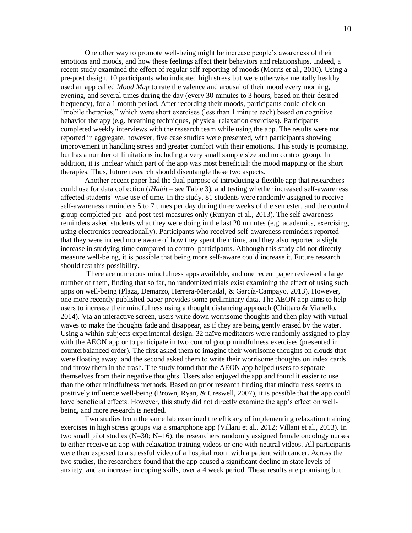One other way to promote well-being might be increase people's awareness of their emotions and moods, and how these feelings affect their behaviors and relationships. Indeed, a recent study examined the effect of regular self-reporting of moods [\(Morris et al., 2010\)](#page-24-8). Using a pre-post design, 10 participants who indicated high stress but were otherwise mentally healthy used an app called *Mood Map* to rate the valence and arousal of their mood every morning, evening, and several times during the day (every 30 minutes to 3 hours, based on their desired frequency), for a 1 month period. After recording their moods, participants could click on "mobile therapies," which were short exercises (less than 1 minute each) based on cognitive behavior therapy (e.g. breathing techniques, physical relaxation exercises). Participants completed weekly interviews with the research team while using the app. The results were not reported in aggregate, however, five case studies were presented, with participants showing improvement in handling stress and greater comfort with their emotions. This study is promising, but has a number of limitations including a very small sample size and no control group. In addition, it is unclear which part of the app was most beneficial: the mood mapping or the short therapies. Thus, future research should disentangle these two aspects.

Another recent paper had the dual purpose of introducing a flexible app that researchers could use for data collection (*iHabit* – see Table 3), and testing whether increased self-awareness affected students' wise use of time. In the study, 81 students were randomly assigned to receive self-awareness reminders 5 to 7 times per day during three weeks of the semester, and the control group completed pre- and post-test measures only [\(Runyan et al., 2013\)](#page-25-6). The self-awareness reminders asked students what they were doing in the last 20 minutes (e.g. academics, exercising, using electronics recreationally). Participants who received self-awareness reminders reported that they were indeed more aware of how they spent their time, and they also reported a slight increase in studying time compared to control participants. Although this study did not directly measure well-being, it is possible that being more self-aware could increase it. Future research should test this possibility.

There are numerous mindfulness apps available, and one recent paper reviewed a large number of them, finding that so far, no randomized trials exist examining the effect of using such apps on well-being [\(Plaza, Demarzo, Herrera-Mercadal, & García-Campayo, 2013\)](#page-24-9). However, one more recently published paper provides some preliminary data. The AEON app aims to help users to increase their mindfulness using a thought distancing approach [\(Chittaro & Vianello,](#page-21-11)  [2014\)](#page-21-11). Via an interactive screen, users write down worrisome thoughts and then play with virtual waves to make the thoughts fade and disappear, as if they are being gently erased by the water. Using a within-subjects experimental design, 32 naïve meditators were randomly assigned to play with the AEON app or to participate in two control group mindfulness exercises (presented in counterbalanced order). The first asked them to imagine their worrisome thoughts on clouds that were floating away, and the second asked them to write their worrisome thoughts on index cards and throw them in the trash. The study found that the AEON app helped users to separate themselves from their negative thoughts. Users also enjoyed the app and found it easier to use than the other mindfulness methods. Based on prior research finding that mindfulness seems to positively influence well-being [\(Brown, Ryan, & Creswell, 2007\)](#page-21-12), it is possible that the app could have beneficial effects. However, this study did not directly examine the app's effect on wellbeing, and more research is needed.

Two studies from the same lab examined the efficacy of implementing relaxation training exercises in high stress groups via a smartphone app [\(Villani et al., 2012;](#page-25-7) [Villani et al., 2013\)](#page-25-8). In two small pilot studies  $(N=30; N=16)$ , the researchers randomly assigned female oncology nurses to either receive an app with relaxation training videos or one with neutral videos. All participants were then exposed to a stressful video of a hospital room with a patient with cancer. Across the two studies, the researchers found that the app caused a significant decline in state levels of anxiety, and an increase in coping skills, over a 4 week period. These results are promising but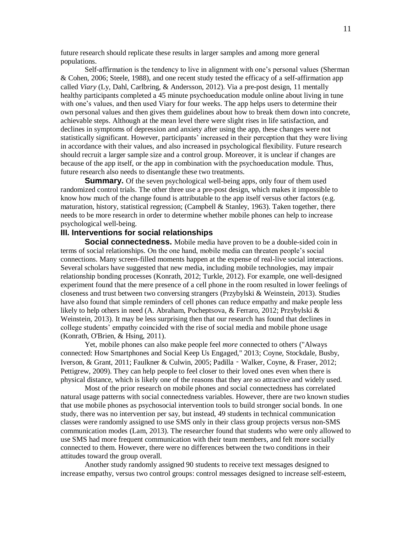future research should replicate these results in larger samples and among more general populations.

Self-affirmation is the tendency to live in alignment with one's personal values [\(Sherman](#page-25-9)  [& Cohen, 2006;](#page-25-9) [Steele, 1988\)](#page-25-10), and one recent study tested the efficacy of a self-affirmation app called *Viary* [\(Ly, Dahl, Carlbring, & Andersson, 2012\)](#page-23-7). Via a pre-post design, 11 mentally healthy participants completed a 45 minute psychoeducation module online about living in tune with one's values, and then used Viary for four weeks. The app helps users to determine their own personal values and then gives them guidelines about how to break them down into concrete, achievable steps. Although at the mean level there were slight rises in life satisfaction, and declines in symptoms of depression and anxiety after using the app, these changes were not statistically significant. However, participants' increased in their perception that they were living in accordance with their values, and also increased in psychological flexibility. Future research should recruit a larger sample size and a control group. Moreover, it is unclear if changes are because of the app itself, or the app in combination with the psychoeducation module. Thus, future research also needs to disentangle these two treatments.

**Summary.** Of the seven psychological well-being apps, only four of them used randomized control trials. The other three use a pre-post design, which makes it impossible to know how much of the change found is attributable to the app itself versus other factors (e.g. maturation, history, statistical regression; (Campbell  $&$  Stanley, 1963). Taken together, there needs to be more research in order to determine whether mobile phones can help to increase psychological well-being.

### **III. Interventions for social relationships**

**Social connectedness.** Mobile media have proven to be a double-sided coin in terms of social relationships. On the one hand, mobile media can threaten people's social connections. Many screen-filled moments happen at the expense of real-live social interactions. Several scholars have suggested that new media, including mobile technologies, may impair relationship bonding processes [\(Konrath, 2012;](#page-23-8) [Turkle, 2012\)](#page-25-11). For example, one well-designed experiment found that the mere presence of a cell phone in the room resulted in lower feelings of closeness and trust between two conversing strangers [\(Przybylski & Weinstein, 2013\)](#page-25-12). Studies have also found that simple reminders of cell phones can reduce empathy and make people less likely to help others in need [\(A. Abraham, Pocheptsova, & Ferraro, 2012;](#page-21-13) [Przybylski &](#page-25-12)  [Weinstein, 2013\)](#page-25-12). It may be less surprising then that our research has found that declines in college students' empathy coincided with the rise of social media and mobile phone usage [\(Konrath, O'Brien, & Hsing, 2011\)](#page-23-9).

Yet, mobile phones can also make people feel *more* connected to others [\("Always](#page-21-14)  [connected: How Smartphones and Social Keep Us Engaged," 2013;](#page-21-14) [Coyne, Stockdale, Busby,](#page-22-12)  [Iverson, & Grant, 2011;](#page-22-12) [Faulkner & Culwin, 2005;](#page-22-13) Padilla‐[Walker, Coyne, & Fraser, 2012;](#page-24-10) [Pettigrew, 2009\)](#page-24-11). They can help people to feel closer to their loved ones even when there is physical distance, which is likely one of the reasons that they are so attractive and widely used.

Most of the prior research on mobile phones and social connectedness has correlated natural usage patterns with social connectedness variables. However, there are two known studies that use mobile phones as psychosocial intervention tools to build stronger social bonds. In one study, there was no intervention per say, but instead, 49 students in technical communication classes were randomly assigned to use SMS only in their class group projects versus non-SMS communication modes [\(Lam, 2013\)](#page-23-10). The researcher found that students who were only allowed to use SMS had more frequent communication with their team members, and felt more socially connected to them. However, there were no differences between the two conditions in their attitudes toward the group overall.

Another study randomly assigned 90 students to receive text messages designed to increase empathy, versus two control groups: control messages designed to increase self-esteem,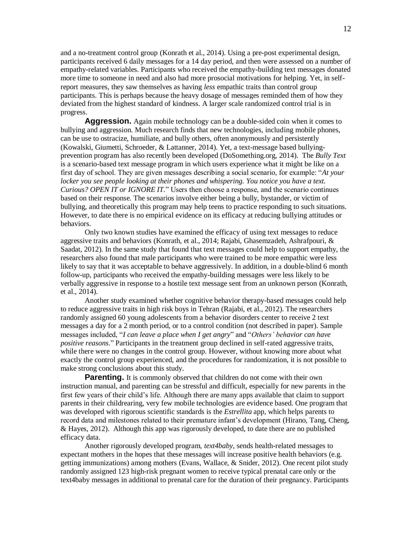and a no-treatment control group [\(Konrath et al., 2014\)](#page-23-11). Using a pre-post experimental design, participants received 6 daily messages for a 14 day period, and then were assessed on a number of empathy-related variables. Participants who received the empathy-building text messages donated more time to someone in need and also had more prosocial motivations for helping. Yet, in selfreport measures, they saw themselves as having *less* empathic traits than control group participants. This is perhaps because the heavy dosage of messages reminded them of how they deviated from the highest standard of kindness. A larger scale randomized control trial is in progress.

**Aggression.** Again mobile technology can be a double-sided coin when it comes to bullying and aggression. Much research finds that new technologies, including mobile phones, can be use to ostracize, humiliate, and bully others, often anonymously and persistently [\(Kowalski, Giumetti, Schroeder, & Lattanner, 2014\)](#page-23-12). Yet, a text-message based bullyingprevention program has also recently been developed [\(DoSomething.org, 2014\)](#page-22-14). The *Bully Text* is a scenario-based text message program in which users experience what it might be like on a first day of school. They are given messages describing a social scenario, for example: "*At your locker you see people looking at their phones and whispering. You notice you have a text. Curious? OPEN IT or IGNORE IT.*" Users then choose a response, and the scenario continues based on their response. The scenarios involve either being a bully, bystander, or victim of bullying, and theoretically this program may help teens to practice responding to such situations. However, to date there is no empirical evidence on its efficacy at reducing bullying attitudes or behaviors.

Only two known studies have examined the efficacy of using text messages to reduce aggressive traits and behaviors [\(Konrath, et al., 2014;](#page-23-11) [Rajabi, Ghasemzadeh, Ashrafpouri, &](#page-25-13)  [Saadat, 2012\)](#page-25-13). In the same study that found that text messages could help to support empathy, the researchers also found that male participants who were trained to be more empathic were less likely to say that it was acceptable to behave aggressively. In addition, in a double-blind 6 month follow-up, participants who received the empathy-building messages were less likely to be verbally aggressive in response to a hostile text message sent from an unknown person [\(Konrath,](#page-23-11)  [et al., 2014\)](#page-23-11).

Another study examined whether cognitive behavior therapy-based messages could help to reduce aggressive traits in high risk boys in Tehran [\(Rajabi, et al., 2012\)](#page-25-13). The researchers randomly assigned 60 young adolescents from a behavior disorders center to receive 2 text messages a day for a 2 month period, or to a control condition (not described in paper). Sample messages included, "*I can leave a place when I get angry*" and "*Others' behavior can have positive reasons*." Participants in the treatment group declined in self-rated aggressive traits, while there were no changes in the control group. However, without knowing more about what exactly the control group experienced, and the procedures for randomization, it is not possible to make strong conclusions about this study.

**Parenting.** It is commonly observed that children do not come with their own instruction manual, and parenting can be stressful and difficult, especially for new parents in the first few years of their child's life. Although there are many apps available that claim to support parents in their childrearing, very few mobile technologies are evidence based. One program that was developed with rigorous scientific standards is the *Estrellita* app, which helps parents to record data and milestones related to their premature infant's development [\(Hirano, Tang, Cheng,](#page-23-13)  [& Hayes, 2012\)](#page-23-13). Although this app was rigorously developed, to date there are no published efficacy data.

Another rigorously developed program, *text4baby*, sends health-related messages to expectant mothers in the hopes that these messages will increase positive health behaviors (e.g. getting immunizations) among mothers [\(Evans, Wallace, & Snider, 2012\)](#page-22-15). One recent pilot study randomly assigned 123 high-risk pregnant women to receive typical prenatal care only or the text4baby messages in additional to prenatal care for the duration of their pregnancy. Participants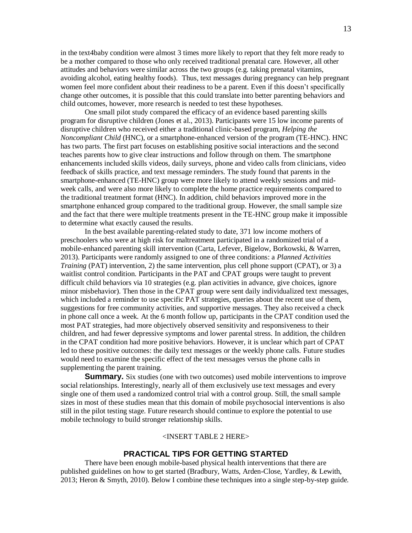in the text4baby condition were almost 3 times more likely to report that they felt more ready to be a mother compared to those who only received traditional prenatal care. However, all other attitudes and behaviors were similar across the two groups (e.g. taking prenatal vitamins, avoiding alcohol, eating healthy foods). Thus, text messages during pregnancy can help pregnant women feel more confident about their readiness to be a parent. Even if this doesn't specifically change other outcomes, it is possible that this could translate into better parenting behaviors and child outcomes, however, more research is needed to test these hypotheses.

One small pilot study compared the efficacy of an evidence based parenting skills program for disruptive children [\(Jones et al., 2013\)](#page-23-14). Participants were 15 low income parents of disruptive children who received either a traditional clinic-based program, *Helping the Noncompliant Child* (HNC), or a smartphone-enhanced version of the program (TE-HNC). HNC has two parts. The first part focuses on establishing positive social interactions and the second teaches parents how to give clear instructions and follow through on them. The smartphone enhancements included skills videos, daily surveys, phone and video calls from clinicians, video feedback of skills practice, and text message reminders. The study found that parents in the smartphone-enhanced (TE-HNC) group were more likely to attend weekly sessions and midweek calls, and were also more likely to complete the home practice requirements compared to the traditional treatment format (HNC). In addition, child behaviors improved more in the smartphone enhanced group compared to the traditional group. However, the small sample size and the fact that there were multiple treatments present in the TE-HNC group make it impossible to determine what exactly caused the results.

In the best available parenting-related study to date, 371 low income mothers of preschoolers who were at high risk for maltreatment participated in a randomized trial of a mobile-enhanced parenting skill intervention [\(Carta, Lefever, Bigelow, Borkowski, & Warren,](#page-21-15)  [2013\)](#page-21-15). Participants were randomly assigned to one of three conditions: a *Planned Activities Training* (PAT) intervention, 2) the same intervention, plus cell phone support (CPAT), or 3) a waitlist control condition. Participants in the PAT and CPAT groups were taught to prevent difficult child behaviors via 10 strategies (e.g. plan activities in advance, give choices, ignore minor misbehavior). Then those in the CPAT group were sent daily individualized text messages, which included a reminder to use specific PAT strategies, queries about the recent use of them, suggestions for free community activities, and supportive messages. They also received a check in phone call once a week. At the 6 month follow up, participants in the CPAT condition used the most PAT strategies, had more objectively observed sensitivity and responsiveness to their children, and had fewer depressive symptoms and lower parental stress. In addition, the children in the CPAT condition had more positive behaviors. However, it is unclear which part of CPAT led to these positive outcomes: the daily text messages or the weekly phone calls. Future studies would need to examine the specific effect of the text messages versus the phone calls in supplementing the parent training.

**Summary.** Six studies (one with two outcomes) used mobile interventions to improve social relationships. Interestingly, nearly all of them exclusively use text messages and every single one of them used a randomized control trial with a control group. Still, the small sample sizes in most of these studies mean that this domain of mobile psychosocial interventions is also still in the pilot testing stage. Future research should continue to explore the potential to use mobile technology to build stronger relationship skills.

#### <INSERT TABLE 2 HERE>

#### **PRACTICAL TIPS FOR GETTING STARTED**

There have been enough mobile-based physical health interventions that there are published guidelines on how to get started [\(Bradbury, Watts, Arden-Close, Yardley, & Lewith,](#page-21-16)  [2013;](#page-21-16) [Heron & Smyth, 2010\)](#page-23-15). Below I combine these techniques into a single step-by-step guide.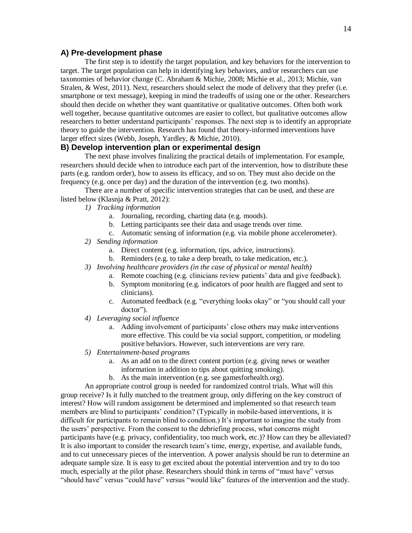# **A) Pre-development phase**

The first step is to identify the target population, and key behaviors for the intervention to target. The target population can help in identifying key behaviors, and/or researchers can use taxonomies of behavior change [\(C. Abraham & Michie, 2008;](#page-21-17) [Michie et al., 2013;](#page-24-12) [Michie, van](#page-24-13)  [Stralen, & West, 2011\)](#page-24-13). Next, researchers should select the mode of delivery that they prefer (i.e. smartphone or text message), keeping in mind the tradeoffs of using one or the other. Researchers should then decide on whether they want quantitative or qualitative outcomes. Often both work well together, because quantitative outcomes are easier to collect, but qualitative outcomes allow researchers to better understand participants' responses. The next step is to identify an appropriate theory to guide the intervention. Research has found that theory-informed interventions have larger effect sizes [\(Webb, Joseph, Yardley, & Michie, 2010\)](#page-25-14).

#### **B) Develop intervention plan or experimental design**

The next phase involves finalizing the practical details of implementation. For example, researchers should decide when to introduce each part of the intervention, how to distribute these parts (e.g. random order), how to assess its efficacy, and so on. They must also decide on the frequency (e.g. once per day) and the duration of the intervention (e.g. two months).

There are a number of specific intervention strategies that can be used, and these are listed below [\(Klasnja & Pratt, 2012\)](#page-23-16):

- *1) Tracking information* 
	- a. Journaling, recording, charting data (e.g. moods).
	- b. Letting participants see their data and usage trends over time.
	- c. Automatic sensing of information (e.g. via mobile phone accelerometer).
- *2) Sending information*
	- a. Direct content (e.g. information, tips, advice, instructions).
	- b. Reminders (e.g. to take a deep breath, to take medication, etc.).
- *3) Involving healthcare providers (in the case of physical or mental health)*
	- a. Remote coaching (e.g. clinicians review patients' data and give feedback).
	- b. Symptom monitoring (e.g. indicators of poor health are flagged and sent to clinicians).
	- c. Automated feedback (e.g. "everything looks okay" or "you should call your doctor").
- *4) Leveraging social influence*
	- a. Adding involvement of participants' close others may make interventions more effective. This could be via social support, competition, or modeling positive behaviors. However, such interventions are very rare.
- *5) Entertainment-based programs*
	- a. As an add on to the direct content portion (e.g. giving news or weather information in addition to tips about quitting smoking).
	- b. As the main intervention (e.g. see gamesforhealth.org).

An appropriate control group is needed for randomized control trials. What will this group receive? Is it fully matched to the treatment group, only differing on the key construct of interest? How will random assignment be determined and implemented so that research team members are blind to participants' condition? (Typically in mobile-based interventions, it is difficult for participants to remain blind to condition.) It's important to imagine the study from the users' perspective. From the consent to the debriefing process, what concerns might participants have (e.g. privacy, confidentiality, too much work, etc.)? How can they be alleviated? It is also important to consider the research team's time, energy, expertise, and available funds, and to cut unnecessary pieces of the intervention. A power analysis should be run to determine an adequate sample size. It is easy to get excited about the potential intervention and try to do too much, especially at the pilot phase. Researchers should think in terms of "must have" versus "should have" versus "could have" versus "would like" features of the intervention and the study.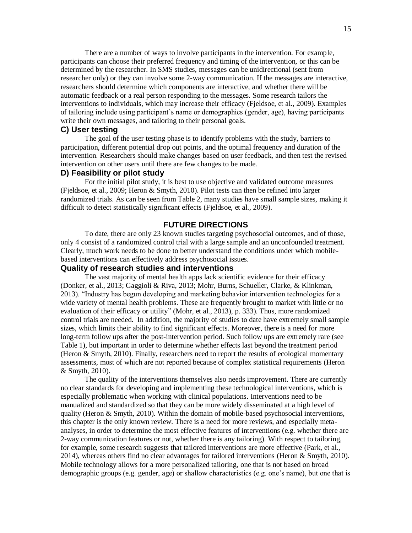There are a number of ways to involve participants in the intervention. For example, participants can choose their preferred frequency and timing of the intervention, or this can be determined by the researcher. In SMS studies, messages can be unidirectional (sent from researcher only) or they can involve some 2-way communication. If the messages are interactive, researchers should determine which components are interactive, and whether there will be automatic feedback or a real person responding to the messages. Some research tailors the interventions to individuals, which may increase their efficacy [\(Fjeldsoe, et al., 2009\)](#page-22-3). Examples of tailoring include using participant's name or demographics (gender, age), having participants write their own messages, and tailoring to their personal goals.

#### **C) User testing**

The goal of the user testing phase is to identify problems with the study, barriers to participation, different potential drop out points, and the optimal frequency and duration of the intervention. Researchers should make changes based on user feedback, and then test the revised intervention on other users until there are few changes to be made.

#### **D) Feasibility or pilot study**

For the initial pilot study, it is best to use objective and validated outcome measures [\(Fjeldsoe, et al., 2009;](#page-22-3) [Heron & Smyth, 2010\)](#page-23-15). Pilot tests can then be refined into larger randomized trials. As can be seen from Table 2, many studies have small sample sizes, making it difficult to detect statistically significant effects [\(Fjeldsoe, et al., 2009\)](#page-22-3).

# **FUTURE DIRECTIONS**

To date, there are only 23 known studies targeting psychosocial outcomes, and of those, only 4 consist of a randomized control trial with a large sample and an unconfounded treatment. Clearly, much work needs to be done to better understand the conditions under which mobilebased interventions can effectively address psychosocial issues.

# **Quality of research studies and interventions**

The vast majority of mental health apps lack scientific evidence for their efficacy [\(Donker, et al., 2013;](#page-22-5) [Gaggioli & Riva, 2013;](#page-22-11) [Mohr, Burns, Schueller, Clarke, & Klinkman,](#page-24-14)  [2013\)](#page-24-14). "Industry has begun developing and marketing behavior intervention technologies for a wide variety of mental health problems. These are frequently brought to market with little or no evaluation of their efficacy or utility" [\(Mohr, et al., 2013\)](#page-24-14), p. 333). Thus, more randomized control trials are needed. In addition, the majority of studies to date have extremely small sample sizes, which limits their ability to find significant effects. Moreover, there is a need for more long-term follow ups after the post-intervention period. Such follow ups are extremely rare (see Table 1), but important in order to determine whether effects last beyond the treatment period [\(Heron & Smyth, 2010\)](#page-23-15). Finally, researchers need to report the results of ecological momentary assessments, most of which are not reported because of complex statistical requirements [\(Heron](#page-23-15)  [& Smyth, 2010\)](#page-23-15).

The quality of the interventions themselves also needs improvement. There are currently no clear standards for developing and implementing these technological interventions, which is especially problematic when working with clinical populations. Interventions need to be manualized and standardized so that they can be more widely disseminated at a high level of quality [\(Heron & Smyth, 2010\)](#page-23-15). Within the domain of mobile-based psychosocial interventions, this chapter is the only known review. There is a need for more reviews, and especially metaanalyses, in order to determine the most effective features of interventions (e.g. whether there are 2-way communication features or not, whether there is any tailoring). With respect to tailoring, for example, some research suggests that tailored interventions are more effective [\(Park, et al.,](#page-24-2)  [2014\)](#page-24-2), whereas others find no clear advantages for tailored interventions [\(Heron & Smyth, 2010\)](#page-23-15). Mobile technology allows for a more personalized tailoring, one that is not based on broad demographic groups (e.g. gender, age) or shallow characteristics (e.g. one's name), but one that is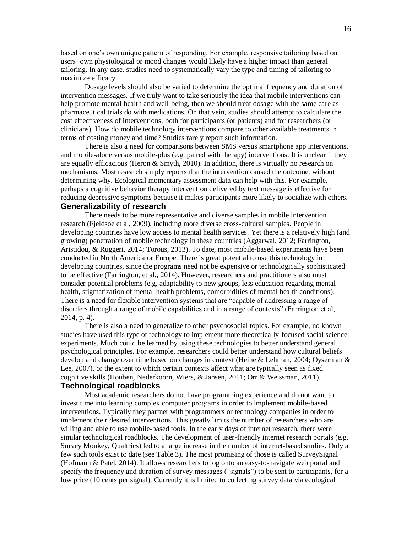based on one's own unique pattern of responding. For example, responsive tailoring based on users' own physiological or mood changes would likely have a higher impact than general tailoring. In any case, studies need to systematically vary the type and timing of tailoring to maximize efficacy.

Dosage levels should also be varied to determine the optimal frequency and duration of intervention messages. If we truly want to take seriously the idea that mobile interventions can help promote mental health and well-being, then we should treat dosage with the same care as pharmaceutical trials do with medications. On that vein, studies should attempt to calculate the cost effectiveness of interventions, both for participants (or patients) and for researchers (or clinicians). How do mobile technology interventions compare to other available treatments in terms of costing money and time? Studies rarely report such information.

There is also a need for comparisons between SMS versus smartphone app interventions, and mobile-alone versus mobile-plus (e.g. paired with therapy) interventions. It is unclear if they are equally efficacious [\(Heron & Smyth, 2010\)](#page-23-15). In addition, there is virtually no research on mechanisms. Most research simply reports that the intervention caused the outcome, without determining why. Ecological momentary assessment data can help with this. For example, perhaps a cognitive behavior therapy intervention delivered by text message is effective for reducing depressive symptoms because it makes participants more likely to socialize with others. **Generalizability of research**

# There needs to be more representative and diverse samples in mobile intervention research (Fjeldsoe et al, 2009), including more diverse cross-cultural samples. People in developing countries have low access to mental health services. Yet there is a relatively high (and growing) penetration of mobile technology in these countries [\(Aggarwal, 2012;](#page-21-18) [Farrington,](#page-22-16)  [Aristidou, & Ruggeri, 2014;](#page-22-16) [Torous, 2013\)](#page-25-15). To date, most mobile-based experiments have been conducted in North America or Europe. There is great potential to use this technology in developing countries, since the programs need not be expensive or technologically sophisticated to be effective [\(Farrington, et al., 2014\)](#page-22-16). However, researchers and practitioners also must consider potential problems (e.g. adaptability to new groups, less education regarding mental health, stigmatization of mental health problems, comorbidities of mental health conditions). There is a need for flexible intervention systems that are "capable of addressing a range of disorders through a range of mobile capabilities and in a range of contexts" (Farrington et al, 2014, p. 4).

There is also a need to generalize to other psychosocial topics. For example, no known studies have used this type of technology to implement more theoretically-focused social science experiments. Much could be learned by using these technologies to better understand general psychological principles. For example, researchers could better understand how cultural beliefs develop and change over time based on changes in context [\(Heine & Lehman, 2004;](#page-22-17) [Oyserman &](#page-24-15)  [Lee, 2007\)](#page-24-15), or the extent to which certain contexts affect what are typically seen as fixed cognitive skills [\(Houben, Nederkoorn, Wiers, & Jansen, 2011;](#page-23-17) [Orr & Weissman, 2011\)](#page-24-16).

# **Technological roadblocks**

Most academic researchers do not have programming experience and do not want to invest time into learning complex computer programs in order to implement mobile-based interventions. Typically they partner with programmers or technology companies in order to implement their desired interventions. This greatly limits the number of researchers who are willing and able to use mobile-based tools. In the early days of internet research, there were similar technological roadblocks. The development of user-friendly internet research portals (e.g. Survey Monkey, Qualtrics) led to a large increase in the number of internet-based studies. Only a few such tools exist to date (see Table 3). The most promising of those is called SurveySignal [\(Hofmann & Patel, 2014\)](#page-23-5). It allows researchers to log onto an easy-to-navigate web portal and specify the frequency and duration of survey messages ("signals") to be sent to participants, for a low price (10 cents per signal). Currently it is limited to collecting survey data via ecological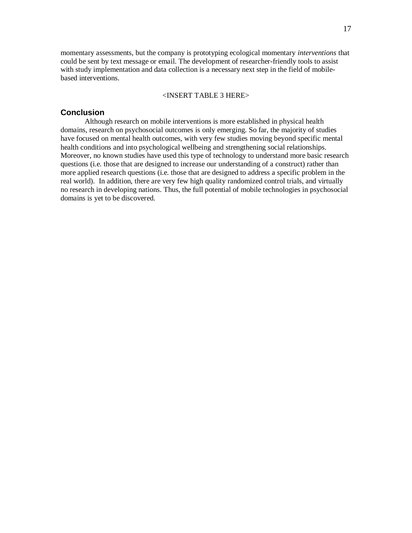momentary assessments, but the company is prototyping ecological momentary *interventions* that could be sent by text message or email. The development of researcher-friendly tools to assist with study implementation and data collection is a necessary next step in the field of mobilebased interventions.

#### <INSERT TABLE 3 HERE>

#### **Conclusion**

Although research on mobile interventions is more established in physical health domains, research on psychosocial outcomes is only emerging. So far, the majority of studies have focused on mental health outcomes, with very few studies moving beyond specific mental health conditions and into psychological wellbeing and strengthening social relationships. Moreover, no known studies have used this type of technology to understand more basic research questions (i.e. those that are designed to increase our understanding of a construct) rather than more applied research questions (i.e. those that are designed to address a specific problem in the real world). In addition, there are very few high quality randomized control trials, and virtually no research in developing nations. Thus, the full potential of mobile technologies in psychosocial domains is yet to be discovered.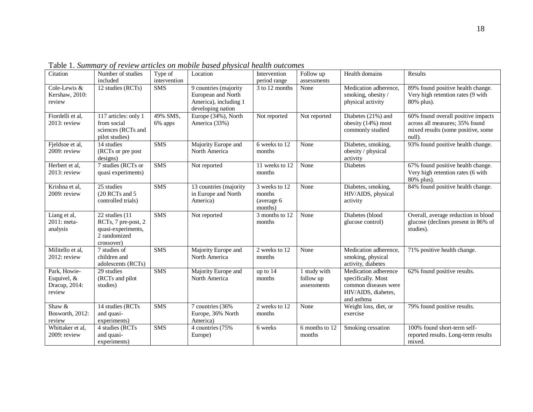| Citation                                               | Number of studies<br>included                                                             | Type of<br>intervention | Location                                                                                  | Intervention<br>period range                     | Follow up<br>assessments                 | Health domains                                                                                          | Results                                                                                                              |
|--------------------------------------------------------|-------------------------------------------------------------------------------------------|-------------------------|-------------------------------------------------------------------------------------------|--------------------------------------------------|------------------------------------------|---------------------------------------------------------------------------------------------------------|----------------------------------------------------------------------------------------------------------------------|
| Cole-Lewis &<br>Kershaw, 2010:<br>review               | 12 studies (RCTs)                                                                         | <b>SMS</b>              | 9 countries (majority<br>European and North<br>America), including 1<br>developing nation | 3 to 12 months                                   | None                                     | Medication adherence,<br>smoking, obesity/<br>physical activity                                         | 89% found positive health change.<br>Very high retention rates (9 with<br>80% plus).                                 |
| Fiordelli et al,<br>$2013$ : review                    | 117 articles: only 1<br>from social<br>sciences (RCTs and<br>pilot studies)               | 49% SMS,<br>6% apps     | Europe (34%), North<br>America (33%)                                                      | Not reported                                     | Not reported                             | Diabetes (21%) and<br>obesity (14%) most<br>commonly studied                                            | 60% found overall positive impacts<br>across all measures; 35% found<br>mixed results (some positive, some<br>null). |
| Fjeldsoe et al,<br>$2009$ : review                     | 14 studies<br>(RCTs or pre post<br>designs)                                               | SMS                     | Majority Europe and<br>North America                                                      | 6 weeks to 12<br>months                          | None                                     | Diabetes, smoking,<br>obesity / physical<br>activity                                                    | 93% found positive health change.                                                                                    |
| Herbert et al,<br>2013: review                         | 7 studies (RCTs or<br>quasi experiments)                                                  | SMS                     | Not reported                                                                              | 11 weeks to 12<br>months                         | None                                     | <b>Diabetes</b>                                                                                         | 67% found positive health change.<br>Very high retention rates (6 with<br>80% plus).                                 |
| Krishna et al,<br>2009: review                         | 25 studies<br>(20 RCTs and 5)<br>controlled trials)                                       | <b>SMS</b>              | 13 countries (majority<br>in Europe and North<br>America)                                 | 3 weeks to 12<br>months<br>(average 6<br>months) | None                                     | Diabetes, smoking,<br>HIV/AIDS, physical<br>activity                                                    | 84% found positive health change.                                                                                    |
| Liang et al,<br>2011: meta-<br>analysis                | 22 studies (11<br>RCTs, 7 pre-post, 2<br>quasi-experiments,<br>2 randomized<br>crossover) | <b>SMS</b>              | Not reported                                                                              | 3 months to 12<br>months                         | None                                     | Diabetes (blood<br>glucose control)                                                                     | Overall, average reduction in blood<br>glucose (declines present in 86% of<br>studies).                              |
| Militello et al,<br>2012: review                       | 7 studies of<br>children and<br>adolescents (RCTs)                                        | <b>SMS</b>              | Majority Europe and<br>North America                                                      | 2 weeks to 12<br>months                          | None                                     | Medication adherence,<br>smoking, physical<br>activity, diabetes                                        | 71% positive health change.                                                                                          |
| Park, Howie-<br>Esquivel, &<br>Dracup, 2014:<br>review | 29 studies<br>(RCTs and pilot<br>studies)                                                 | SMS                     | Majority Europe and<br>North America                                                      | up to 14<br>months                               | 1 study with<br>follow up<br>assessments | Medication adherence<br>specifically. Most<br>common diseases were<br>HIV/AIDS, diabetes,<br>and asthma | 62% found positive results.                                                                                          |
| Shaw &<br>Bosworth, 2012:<br>review                    | 14 studies (RCTs)<br>and quasi-<br>experiments)                                           | SMS                     | 7 countries (36%)<br>Europe, 36% North<br>America)                                        | 2 weeks to 12<br>months                          | None                                     | Weight loss, diet, or<br>exercise                                                                       | 79% found positive results.                                                                                          |
| Whittaker et al,<br>$2009$ : review                    | 4 studies (RCTs)<br>and quasi-<br>experiments)                                            | <b>SMS</b>              | 4 countries (75%)<br>Europe)                                                              | 6 weeks                                          | 6 months to 12<br>months                 | Smoking cessation                                                                                       | 100% found short-term self-<br>reported results. Long-term results<br>mixed.                                         |

Table 1. *Summary of review articles on mobile based physical health outcomes*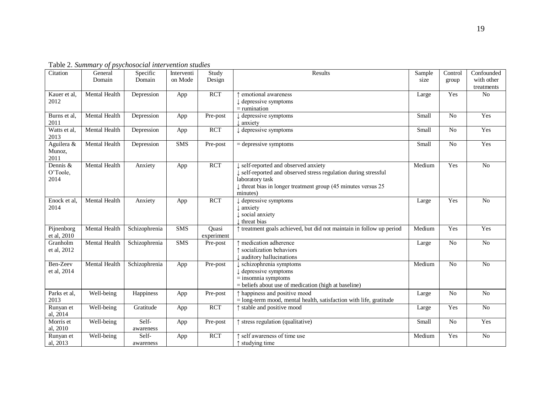| Citation                     | General<br>Domain              | Specific<br>Domain | Interventi<br>on Mode | Study<br>Design     | Results                                                                                                                                                                                                          | Sample<br>size | Control<br>group | Confounded<br>with other<br>treatments |
|------------------------------|--------------------------------|--------------------|-----------------------|---------------------|------------------------------------------------------------------------------------------------------------------------------------------------------------------------------------------------------------------|----------------|------------------|----------------------------------------|
| Kauer et al.<br>2012         | Mental Health                  | Depression         | App                   | <b>RCT</b>          | emotional awareness<br>$\downarrow$ depressive symptoms<br>$=$ rumination                                                                                                                                        | Large          | Yes              | N <sub>o</sub>                         |
| Burns et al.<br>2011         | Mental Health                  | Depression         | App                   | Pre-post            | $\downarrow$ depressive symptoms<br>, anxiety                                                                                                                                                                    | Small          | N <sub>o</sub>   | Yes                                    |
| Watts et al.<br>2013         | Mental Health                  | Depression         | App                   | <b>RCT</b>          | depressive symptoms                                                                                                                                                                                              | Small          | No               | Yes                                    |
| Aguilera &<br>Munoz,<br>2011 | Mental Health                  | Depression         | <b>SMS</b>            | Pre-post            | $=$ depressive symptoms                                                                                                                                                                                          | Small          | No               | Yes                                    |
| Dennis &<br>O'Toole,<br>2014 | <b>Mental Health</b>           | Anxiety            | App                   | <b>RCT</b>          | self-reported and observed anxiety<br>↓ self-reported and observed stress regulation during stressful<br>laboratory task<br>$\downarrow$ threat bias in longer treatment group (45 minutes versus 25<br>minutes) | Medium         | Yes              | $\overline{No}$                        |
| Enock et al.<br>2014         | Mental Health                  | Anxiety            | App                   | <b>RCT</b>          | $\downarrow$ depressive symptoms<br>$\downarrow$ anxiety<br>$\downarrow$ social anxiety<br>threat bias                                                                                                           | Large          | Yes              | N <sub>o</sub>                         |
| Pijnenborg<br>et al, 2010    | Mental Health                  | Schizophrenia      | <b>SMS</b>            | Quasi<br>experiment | ↑ treatment goals achieved, but did not maintain in follow up period                                                                                                                                             | Medium         | Yes              | Yes                                    |
| Granholm<br>et al, 2012      | Mental Health                  | Schizophrenia      | <b>SMS</b>            | Pre-post            | medication adherence<br>↑ socialization behaviors<br>auditory hallucinations                                                                                                                                     | Large          | No               | N <sub>o</sub>                         |
| Ben-Zeev<br>et al, 2014      | Mental Health                  | Schizophrenia      | App                   | Pre-post            | $\downarrow$ schizophrenia symptoms<br>$\downarrow$ depressive symptoms<br>$=$ insomnia symptoms<br>$=$ beliefs about use of medication (high at baseline)                                                       | Medium         | No               | $\overline{No}$                        |
| Parks et al,<br>2013         | Well-being                     | Happiness          | App                   | Pre-post            | ↑ happiness and positive mood<br>$=$ long-term mood, mental health, satisfaction with life, gratitude                                                                                                            | Large          | No               | N <sub>o</sub>                         |
| Runyan et<br>al, 2014        | Well-being                     | Gratitude          | App                   | <b>RCT</b>          | ↑ stable and positive mood                                                                                                                                                                                       | Large          | Yes              | N <sub>o</sub>                         |
| Morris et<br>al, 2010        | Well-being                     | Self-<br>awareness | App                   | Pre-post            | ↑ stress regulation (qualitative)                                                                                                                                                                                | Small          | N <sub>o</sub>   | Yes                                    |
| Runyan et<br>al, 2013        | $\overline{\text{Well-being}}$ | Self-<br>awareness | App                   | <b>RCT</b>          | self awareness of time use<br>$\uparrow$ studying time                                                                                                                                                           | Medium         | Yes              | N <sub>o</sub>                         |

Table 2. *Summary of psychosocial intervention studies*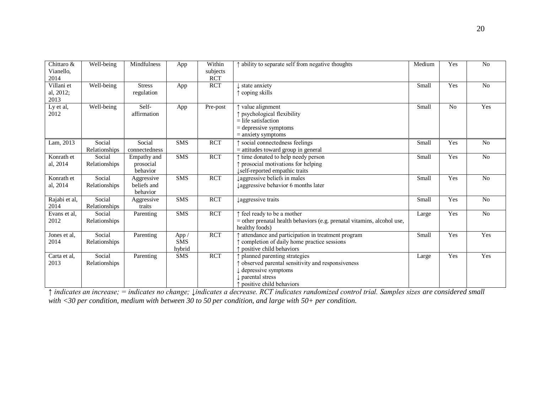| Chittaro &<br>Vianello,<br>2014 | Well-being              | Mindfulness                           | App                           | Within<br>subjects<br><b>RCT</b> | ↑ ability to separate self from negative thoughts                                                                                                      | Medium | Yes            | N <sub>o</sub> |
|---------------------------------|-------------------------|---------------------------------------|-------------------------------|----------------------------------|--------------------------------------------------------------------------------------------------------------------------------------------------------|--------|----------------|----------------|
| Villani et<br>al, 2012;<br>2013 | Well-being              | <b>Stress</b><br>regulation           | App                           | <b>RCT</b>                       | state anxiety<br>$\uparrow$ coping skills                                                                                                              | Small  | Yes            | N <sub>o</sub> |
| Ly et al,<br>2012               | Well-being              | Self-<br>affirmation                  | App                           | Pre-post                         | ↑ value alignment<br>↑ psychological flexibility<br>$=$ life satisfaction<br>$=$ depressive symptoms<br>$=$ anxiety symptoms                           | Small  | N <sub>o</sub> | Yes            |
| Lam, 2013                       | Social<br>Relationships | Social<br>connectedness               | <b>SMS</b>                    | <b>RCT</b>                       | ↑ social connectedness feelings<br>$=$ attitudes toward group in general                                                                               | Small  | Yes            | N <sub>o</sub> |
| Konrath et<br>al, 2014          | Social<br>Relationships | Empathy and<br>prosocial<br>behavior  | <b>SMS</b>                    | <b>RCT</b>                       | ↑ time donated to help needy person<br>↑ prosocial motivations for helping<br>↓self-reported empathic traits                                           | Small  | Yes            | No             |
| Konrath et<br>al, 2014          | Social<br>Relationships | Aggressive<br>beliefs and<br>behavior | <b>SMS</b>                    | <b>RCT</b>                       | laggressive beliefs in males<br>Laggressive behavior 6 months later                                                                                    | Small  | Yes            | $\rm No$       |
| Rajabi et al,<br>2014           | Social<br>Relationships | Aggressive<br>traits                  | <b>SMS</b>                    | <b>RCT</b>                       | laggressive traits                                                                                                                                     | Small  | Yes            | N <sub>o</sub> |
| Evans et al,<br>2012            | Social<br>Relationships | Parenting                             | <b>SMS</b>                    | <b>RCT</b>                       | ↑ feel ready to be a mother<br>$=$ other prenatal health behaviors (e.g. prenatal vitamins, alcohol use,<br>healthy foods)                             | Large  | Yes            | No             |
| Jones et al,<br>2014            | Social<br>Relationships | Parenting                             | App /<br><b>SMS</b><br>hybrid | <b>RCT</b>                       | attendance and participation in treatment program<br>completion of daily home practice sessions<br>positive child behaviors                            | Small  | Yes            | Yes            |
| Carta et al,<br>2013            | Social<br>Relationships | Parenting                             | <b>SMS</b>                    | <b>RCT</b>                       | planned parenting strategies<br>observed parental sensitivity and responsiveness<br>depressive symptoms<br>parental stress<br>positive child behaviors | Large  | Yes            | Yes            |

*↑ indicates an increase; = indicates no change; ↓indicates a decrease. RCT indicates randomized control trial. Samples sizes are considered small with <30 per condition, medium with between 30 to 50 per condition, and large with 50+ per condition.*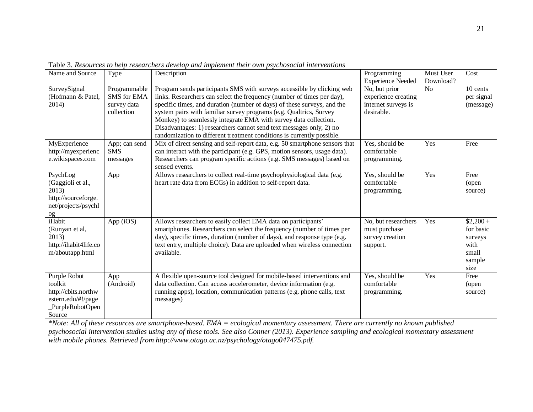| Name and Source       | Type               | Description                                                                                                                              | Programming              | Must User | Cost                   |
|-----------------------|--------------------|------------------------------------------------------------------------------------------------------------------------------------------|--------------------------|-----------|------------------------|
|                       |                    |                                                                                                                                          | <b>Experience Needed</b> | Download? |                        |
| SurveySignal          | Programmable       | Program sends participants SMS with surveys accessible by clicking web                                                                   | No, but prior            | No        | 10 cents               |
| (Hofmann & Patel.     | <b>SMS</b> for EMA | links. Researchers can select the frequency (number of times per day),                                                                   | experience creating      |           | per signal             |
| 2014)                 | survey data        | specific times, and duration (number of days) of these surveys, and the                                                                  | internet surveys is      |           | (message)              |
|                       | collection         | system pairs with familiar survey programs (e.g. Qualtrics, Survey                                                                       | desirable.               |           |                        |
|                       |                    | Monkey) to seamlessly integrate EMA with survey data collection.<br>Disadvantages: 1) researchers cannot send text messages only, 2) no  |                          |           |                        |
|                       |                    | randomization to different treatment conditions is currently possible.                                                                   |                          |           |                        |
| MyExperience          | App; can send      | Mix of direct sensing and self-report data, e.g. 50 smartphone sensors that                                                              | Yes, should be           | Yes       | Free                   |
| http://myexperienc    | <b>SMS</b>         | can interact with the participant (e.g. GPS, motion sensors, usage data).                                                                | comfortable              |           |                        |
| e.wikispaces.com      | messages           | Researchers can program specific actions (e.g. SMS messages) based on                                                                    | programming.             |           |                        |
|                       |                    | sensed events.                                                                                                                           |                          |           |                        |
| PsychLog              | App                | Allows researchers to collect real-time psychophysiological data (e.g.                                                                   | Yes, should be           | Yes       | Free                   |
| (Gaggioli et al.,     |                    | heart rate data from ECGs) in addition to self-report data.                                                                              | comfortable              |           | (open)                 |
| 2013)                 |                    |                                                                                                                                          | programming.             |           | source)                |
| http://sourceforge.   |                    |                                                                                                                                          |                          |           |                        |
| net/projects/psychl   |                    |                                                                                                                                          |                          |           |                        |
| og<br>iHabit          |                    |                                                                                                                                          | No, but researchers      | Yes       |                        |
| (Runyan et al,        | App (iOS)          | Allows researchers to easily collect EMA data on participants'<br>smartphones. Researchers can select the frequency (number of times per | must purchase            |           | $$2,200+$<br>for basic |
| 2013)                 |                    | day), specific times, duration (number of days), and response type (e.g.                                                                 | survey creation          |           | surveys                |
| http://ihabit4life.co |                    | text entry, multiple choice). Data are uploaded when wireless connection                                                                 | support.                 |           | with                   |
| m/aboutapp.html       |                    | available.                                                                                                                               |                          |           | small                  |
|                       |                    |                                                                                                                                          |                          |           | sample                 |
|                       |                    |                                                                                                                                          |                          |           | size                   |
| Purple Robot          | App                | A flexible open-source tool designed for mobile-based interventions and                                                                  | Yes, should be           | Yes       | Free                   |
| toolkit               | (Android)          | data collection. Can access accelerometer, device information (e.g.                                                                      | comfortable              |           | (open)                 |
| http://cbits.northw   |                    | running apps), location, communication patterns (e.g. phone calls, text                                                                  | programming.             |           | source)                |
| estern.edu/#!/page    |                    | messages)                                                                                                                                |                          |           |                        |
| PurpleRobotOpen       |                    |                                                                                                                                          |                          |           |                        |
| Source                |                    |                                                                                                                                          |                          |           |                        |

Table 3. *Resources to help researchers develop and implement their own psychosocial interventions*

*\*Note: All of these resources are smartphone-based. EMA = ecological momentary assessment. There are currently no known published psychosocial intervention studies using any of these tools. See also Conner (2013). Experience sampling and ecological momentary assessment*  with mobile phones. Retrieved from http://www.otago.ac.nz/psychology/otago047475.pdf.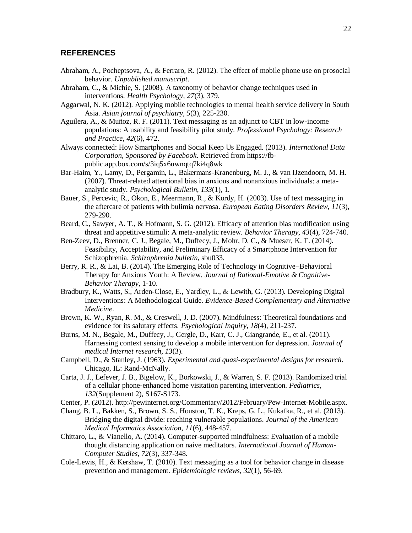#### **REFERENCES**

- <span id="page-21-13"></span>Abraham, A., Pocheptsova, A., & Ferraro, R. (2012). The effect of mobile phone use on prosocial behavior. *Unpublished manuscript*.
- <span id="page-21-17"></span>Abraham, C., & Michie, S. (2008). A taxonomy of behavior change techniques used in interventions. *Health Psychology, 27*(3), 379.
- <span id="page-21-18"></span>Aggarwal, N. K. (2012). Applying mobile technologies to mental health service delivery in South Asia. *Asian journal of psychiatry, 5*(3), 225-230.
- <span id="page-21-6"></span>Aguilera, A., & Muñoz, R. F. (2011). Text messaging as an adjunct to CBT in low-income populations: A usability and feasibility pilot study. *Professional Psychology: Research and Practice, 42*(6), 472.
- <span id="page-21-14"></span>Always connected: How Smartphones and Social Keep Us Engaged. (2013). *International Data Corporation, Sponsored by Facebook*. Retrieved from https://fbpublic.app.box.com/s/3iq5x6uwnqtq7ki4q8wk
- <span id="page-21-7"></span>Bar-Haim, Y., Lamy, D., Pergamin, L., Bakermans-Kranenburg, M. J., & van IJzendoorn, M. H. (2007). Threat-related attentional bias in anxious and nonanxious individuals: a metaanalytic study. *Psychological Bulletin, 133*(1), 1.
- <span id="page-21-1"></span>Bauer, S., Percevic, R., Okon, E., Meermann, R., & Kordy, H. (2003). Use of text messaging in the aftercare of patients with bulimia nervosa. *European Eating Disorders Review, 11*(3), 279-290.
- <span id="page-21-8"></span>Beard, C., Sawyer, A. T., & Hofmann, S. G. (2012). Efficacy of attention bias modification using threat and appetitive stimuli: A meta-analytic review. *Behavior Therapy, 43*(4), 724-740.
- <span id="page-21-9"></span>Ben-Zeev, D., Brenner, C. J., Begale, M., Duffecy, J., Mohr, D. C., & Mueser, K. T. (2014). Feasibility, Acceptability, and Preliminary Efficacy of a Smartphone Intervention for Schizophrenia. *Schizophrenia bulletin*, sbu033.
- <span id="page-21-5"></span>Berry, R. R., & Lai, B. (2014). The Emerging Role of Technology in Cognitive–Behavioral Therapy for Anxious Youth: A Review. *Journal of Rational-Emotive & Cognitive-Behavior Therapy*, 1-10.
- <span id="page-21-16"></span>Bradbury, K., Watts, S., Arden-Close, E., Yardley, L., & Lewith, G. (2013). Developing Digital Interventions: A Methodological Guide. *Evidence-Based Complementary and Alternative Medicine*.
- <span id="page-21-12"></span>Brown, K. W., Ryan, R. M., & Creswell, J. D. (2007). Mindfulness: Theoretical foundations and evidence for its salutary effects. *Psychological Inquiry, 18*(4), 211-237.
- <span id="page-21-4"></span>Burns, M. N., Begale, M., Duffecy, J., Gergle, D., Karr, C. J., Giangrande, E., et al. (2011). Harnessing context sensing to develop a mobile intervention for depression. *Journal of medical Internet research, 13*(3).
- <span id="page-21-10"></span>Campbell, D., & Stanley, J. (1963). *Experimental and quasi-experimental designs for research*. Chicago, IL: Rand-McNally.
- <span id="page-21-15"></span>Carta, J. J., Lefever, J. B., Bigelow, K., Borkowski, J., & Warren, S. F. (2013). Randomized trial of a cellular phone-enhanced home visitation parenting intervention. *Pediatrics, 132*(Supplement 2), S167-S173.
- <span id="page-21-0"></span>Center, P. (2012). [http://pewinternet.org/Commentary/2012/February/Pew-Internet-Mobile.aspx.](http://pewinternet.org/Commentary/2012/February/Pew-Internet-Mobile.aspx)
- <span id="page-21-3"></span>Chang, B. L., Bakken, S., Brown, S. S., Houston, T. K., Kreps, G. L., Kukafka, R., et al. (2013). Bridging the digital divide: reaching vulnerable populations. *Journal of the American Medical Informatics Association, 11*(6), 448-457.
- <span id="page-21-11"></span>Chittaro, L., & Vianello, A. (2014). Computer-supported mindfulness: Evaluation of a mobile thought distancing application on naive meditators. *International Journal of Human-Computer Studies, 72*(3), 337-348.
- <span id="page-21-2"></span>Cole-Lewis, H., & Kershaw, T. (2010). Text messaging as a tool for behavior change in disease prevention and management. *Epidemiologic reviews, 32*(1), 56-69.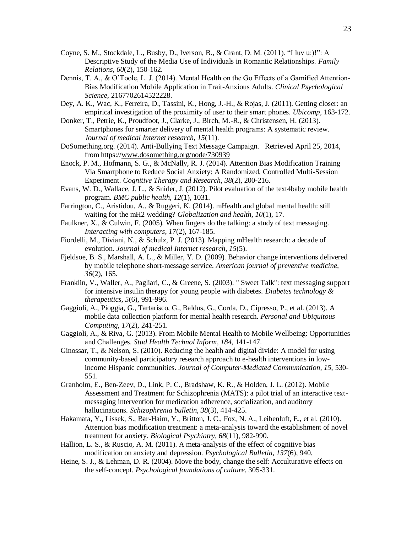- <span id="page-22-12"></span>Coyne, S. M., Stockdale, L., Busby, D., Iverson, B., & Grant, D. M. (2011). "I luv u:)!": A Descriptive Study of the Media Use of Individuals in Romantic Relationships. *Family Relations, 60*(2), 150-162.
- <span id="page-22-9"></span>Dennis, T. A., & O'Toole, L. J. (2014). Mental Health on the Go Effects of a Gamified Attention-Bias Modification Mobile Application in Trait-Anxious Adults. *Clinical Psychological Science*, 2167702614522228.
- <span id="page-22-0"></span>Dey, A. K., Wac, K., Ferreira, D., Tassini, K., Hong, J.-H., & Rojas, J. (2011). Getting closer: an empirical investigation of the proximity of user to their smart phones. *Ubicomp*, 163-172.
- <span id="page-22-5"></span>Donker, T., Petrie, K., Proudfoot, J., Clarke, J., Birch, M.-R., & Christensen, H. (2013). Smartphones for smarter delivery of mental health programs: A systematic review. *Journal of medical Internet research, 15*(11).
- <span id="page-22-14"></span>DoSomething.org. (2014). Anti-Bullying Text Message Campaign. Retrieved April 25, 2014, from https:/[/www.dosomething.org/node/730939](http://www.dosomething.org/node/730939)
- <span id="page-22-10"></span>Enock, P. M., Hofmann, S. G., & McNally, R. J. (2014). Attention Bias Modification Training Via Smartphone to Reduce Social Anxiety: A Randomized, Controlled Multi-Session Experiment. *Cognitive Therapy and Research, 38*(2), 200-216.
- <span id="page-22-18"></span><span id="page-22-15"></span>Evans, W. D., Wallace, J. L., & Snider, J. (2012). Pilot evaluation of the text4baby mobile health program. *BMC public health, 12*(1), 1031.
- <span id="page-22-16"></span>Farrington, C., Aristidou, A., & Ruggeri, K. (2014). mHealth and global mental health: still waiting for the mH2 wedding? *Globalization and health, 10*(1), 17.
- <span id="page-22-13"></span>Faulkner, X., & Culwin, F. (2005). When fingers do the talking: a study of text messaging. *Interacting with computers, 17*(2), 167-185.
- <span id="page-22-2"></span>Fiordelli, M., Diviani, N., & Schulz, P. J. (2013). Mapping mHealth research: a decade of evolution. *Journal of medical Internet research, 15*(5).
- <span id="page-22-3"></span>Fjeldsoe, B. S., Marshall, A. L., & Miller, Y. D. (2009). Behavior change interventions delivered by mobile telephone short-message service. *American journal of preventive medicine, 36*(2), 165.
- <span id="page-22-1"></span>Franklin, V., Waller, A., Pagliari, C., & Greene, S. (2003). " Sweet Talk": text messaging support for intensive insulin therapy for young people with diabetes. *Diabetes technology & therapeutics, 5*(6), 991-996.
- Gaggioli, A., Pioggia, G., Tartarisco, G., Baldus, G., Corda, D., Cipresso, P., et al. (2013). A mobile data collection platform for mental health research. *Personal and Ubiquitous Computing, 17*(2), 241-251.
- <span id="page-22-11"></span>Gaggioli, A., & Riva, G. (2013). From Mobile Mental Health to Mobile Wellbeing: Opportunities and Challenges. *Stud Health Technol Inform, 184*, 141-147.
- <span id="page-22-4"></span>Ginossar, T., & Nelson, S. (2010). Reducing the health and digital divide: A model for using community-based participatory research approach to e-health interventions in lowincome Hispanic communities. *Journal of Computer-Mediated Communication, 15*, 530- 551.
- <span id="page-22-6"></span>Granholm, E., Ben-Zeev, D., Link, P. C., Bradshaw, K. R., & Holden, J. L. (2012). Mobile Assessment and Treatment for Schizophrenia (MATS): a pilot trial of an interactive textmessaging intervention for medication adherence, socialization, and auditory hallucinations. *Schizophrenia bulletin, 38*(3), 414-425.
- <span id="page-22-7"></span>Hakamata, Y., Lissek, S., Bar-Haim, Y., Britton, J. C., Fox, N. A., Leibenluft, E., et al. (2010). Attention bias modification treatment: a meta-analysis toward the establishment of novel treatment for anxiety. *Biological Psychiatry, 68*(11), 982-990.
- <span id="page-22-8"></span>Hallion, L. S., & Ruscio, A. M. (2011). A meta-analysis of the effect of cognitive bias modification on anxiety and depression. *Psychological Bulletin, 137*(6), 940.
- <span id="page-22-17"></span>Heine, S. J., & Lehman, D. R. (2004). Move the body, change the self: Acculturative effects on the self-concept. *Psychological foundations of culture*, 305-331.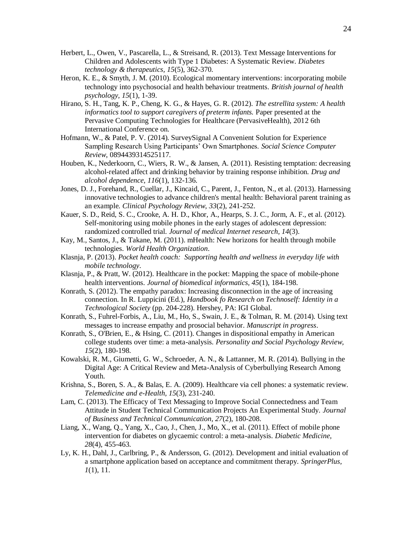- <span id="page-23-1"></span>Herbert, L., Owen, V., Pascarella, L., & Streisand, R. (2013). Text Message Interventions for Children and Adolescents with Type 1 Diabetes: A Systematic Review. *Diabetes technology & therapeutics, 15*(5), 362-370.
- <span id="page-23-15"></span>Heron, K. E., & Smyth, J. M. (2010). Ecological momentary interventions: incorporating mobile technology into psychosocial and health behaviour treatments. *British journal of health psychology, 15*(1), 1-39.
- <span id="page-23-13"></span>Hirano, S. H., Tang, K. P., Cheng, K. G., & Hayes, G. R. (2012). *The estrellita system: A health informatics tool to support caregivers of preterm infants.* Paper presented at the Pervasive Computing Technologies for Healthcare (PervasiveHealth), 2012 6th International Conference on.
- <span id="page-23-5"></span>Hofmann, W., & Patel, P. V. (2014). SurveySignal A Convenient Solution for Experience Sampling Research Using Participants' Own Smartphones. *Social Science Computer Review*, 0894439314525117.
- <span id="page-23-17"></span>Houben, K., Nederkoorn, C., Wiers, R. W., & Jansen, A. (2011). Resisting temptation: decreasing alcohol-related affect and drinking behavior by training response inhibition. *Drug and alcohol dependence, 116*(1), 132-136.
- <span id="page-23-14"></span>Jones, D. J., Forehand, R., Cuellar, J., Kincaid, C., Parent, J., Fenton, N., et al. (2013). Harnessing innovative technologies to advance children's mental health: Behavioral parent training as an example. *Clinical Psychology Review, 33*(2), 241-252.
- <span id="page-23-6"></span>Kauer, S. D., Reid, S. C., Crooke, A. H. D., Khor, A., Hearps, S. J. C., Jorm, A. F., et al. (2012). Self-monitoring using mobile phones in the early stages of adolescent depression: randomized controlled trial. *Journal of medical Internet research, 14*(3).
- <span id="page-23-0"></span>Kay, M., Santos, J., & Takane, M. (2011). mHealth: New horizons for health through mobile technologies. *World Health Organization*.
- <span id="page-23-4"></span>Klasnja, P. (2013). *Pocket health coach: Supporting health and wellness in everyday life with mobile technology*.
- <span id="page-23-18"></span><span id="page-23-16"></span>Klasnja, P., & Pratt, W. (2012). Healthcare in the pocket: Mapping the space of mobile-phone health interventions. *Journal of biomedical informatics, 45*(1), 184-198.
- <span id="page-23-8"></span>Konrath, S. (2012). The empathy paradox: Increasing disconnection in the age of increasing connection. In R. Luppicini (Ed.), *Handbook fo Research on Technoself: Identity in a Technological Society* (pp. 204-228). Hershey, PA: IGI Global.
- <span id="page-23-11"></span>Konrath, S., Fuhrel-Forbis, A., Liu, M., Ho, S., Swain, J. E., & Tolman, R. M. (2014). Using text messages to increase empathy and prosocial behavior. *Manuscript in progress*.
- <span id="page-23-9"></span>Konrath, S., O'Brien, E., & Hsing, C. (2011). Changes in dispositional empathy in American college students over time: a meta-analysis. *Personality and Social Psychology Review, 15*(2), 180-198.
- <span id="page-23-12"></span>Kowalski, R. M., Giumetti, G. W., Schroeder, A. N., & Lattanner, M. R. (2014). Bullying in the Digital Age: A Critical Review and Meta-Analysis of Cyberbullying Research Among Youth.
- <span id="page-23-2"></span>Krishna, S., Boren, S. A., & Balas, E. A. (2009). Healthcare via cell phones: a systematic review. *Telemedicine and e-Health, 15*(3), 231-240.
- <span id="page-23-10"></span>Lam, C. (2013). The Efficacy of Text Messaging to Improve Social Connectedness and Team Attitude in Student Technical Communication Projects An Experimental Study. *Journal of Business and Technical Communication, 27*(2), 180-208.
- <span id="page-23-3"></span>Liang, X., Wang, Q., Yang, X., Cao, J., Chen, J., Mo, X., et al. (2011). Effect of mobile phone intervention for diabetes on glycaemic control: a meta-analysis. *Diabetic Medicine, 28*(4), 455-463.
- <span id="page-23-7"></span>Ly, K. H., Dahl, J., Carlbring, P., & Andersson, G. (2012). Development and initial evaluation of a smartphone application based on acceptance and commitment therapy. *SpringerPlus, 1*(1), 11.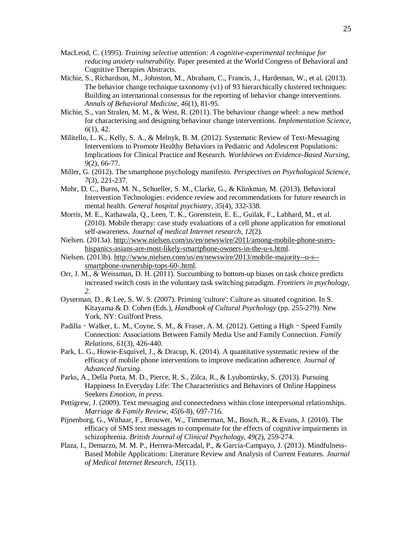- <span id="page-24-5"></span>MacLeod, C. (1995). *Training selective attention: A cognitive-experimental technique for reducing anxiety vulnerability.* Paper presented at the World Congress of Behavioral and Cognitive Therapies Abstracts.
- <span id="page-24-12"></span>Michie, S., Richardson, M., Johnston, M., Abraham, C., Francis, J., Hardeman, W., et al. (2013). The behavior change technique taxonomy (v1) of 93 hierarchically clustered techniques: Building an international consensus for the reporting of behavior change interventions. *Annals of Behavioral Medicine, 46*(1), 81-95.
- <span id="page-24-13"></span>Michie, S., van Stralen, M. M., & West, R. (2011). The behaviour change wheel: a new method for characterising and designing behaviour change interventions. *Implementation Science, 6*(1), 42.
- <span id="page-24-1"></span>Militello, L. K., Kelly, S. A., & Melnyk, B. M. (2012). Systematic Review of Text-Messaging Interventions to Promote Healthy Behaviors in Pediatric and Adolescent Populations: Implications for Clinical Practice and Research. *Worldviews on Evidence-Based Nursing, 9*(2), 66-77.
- <span id="page-24-4"></span>Miller, G. (2012). The smartphone psychology manifesto. *Perspectives on Psychological Science, 7*(3), 221-237.
- <span id="page-24-14"></span>Mohr, D. C., Burns, M. N., Schueller, S. M., Clarke, G., & Klinkman, M. (2013). Behavioral Intervention Technologies: evidence review and recommendations for future research in mental health. *General hospital psychiatry, 35*(4), 332-338.
- <span id="page-24-8"></span>Morris, M. E., Kathawala, Q., Leen, T. K., Gorenstein, E. E., Guilak, F., Labhard, M., et al. (2010). Mobile therapy: case study evaluations of a cell phone application for emotional self-awareness. *Journal of medical Internet research, 12*(2).
- <span id="page-24-3"></span>Nielsen. (2013a). [http://www.nielsen.com/us/en/newswire/2011/among-mobile-phone-users](http://www.nielsen.com/us/en/newswire/2011/among-mobile-phone-users-hispanics-asians-are-most-likely-smartphone-owners-in-the-u-s.html)[hispanics-asians-are-most-likely-smartphone-owners-in-the-u-s.html.](http://www.nielsen.com/us/en/newswire/2011/among-mobile-phone-users-hispanics-asians-are-most-likely-smartphone-owners-in-the-u-s.html)
- <span id="page-24-0"></span>Nielsen. (2013b). [http://www.nielsen.com/us/en/newswire/2013/mobile-majority--u-s-](http://www.nielsen.com/us/en/newswire/2013/mobile-majority--u-s--smartphone-ownership-tops-60-.html) [smartphone-ownership-tops-60-.html.](http://www.nielsen.com/us/en/newswire/2013/mobile-majority--u-s--smartphone-ownership-tops-60-.html)
- <span id="page-24-16"></span>Orr, J. M., & Weissman, D. H. (2011). Succumbing to bottom-up biases on task choice predicts increased switch costs in the voluntary task switching paradigm. *Frontiers in psychology, 2*.
- <span id="page-24-15"></span>Oyserman, D., & Lee, S. W. S. (2007). Priming 'culture': Culture as situated cognition. In S. Kitayama & D. Cohen (Eds.), *Handbook of Cultural Psychology* (pp. 255-279). New York, NY: Guilford Press.
- <span id="page-24-10"></span>Padilla - Walker, L. M., Coyne, S. M., & Fraser, A. M. (2012). Getting a High - Speed Family Connection: Associations Between Family Media Use and Family Connection. *Family Relations, 61*(3), 426-440.
- <span id="page-24-2"></span>Park, L. G., Howie-Esquivel, J., & Dracup, K. (2014). A quantitative systematic review of the efficacy of mobile phone interventions to improve medication adherence. *Journal of Advanced Nursing*.
- <span id="page-24-7"></span>Parks, A., Della Porta, M. D., Pierce, R. S., Zilca, R., & Lyubomirsky, S. (2013). Pursuing Happiness In Everyday Life: The Characteristics and Behaviors of Online Happiness Seekers *Emotion, in press*.
- <span id="page-24-11"></span>Pettigrew, J. (2009). Text messaging and connectedness within close interpersonal relationships. *Marriage & Family Review, 45*(6-8), 697-716.
- <span id="page-24-6"></span>Pijnenborg, G., Withaar, F., Brouwer, W., Timmerman, M., Bosch, R., & Evans, J. (2010). The efficacy of SMS text messages to compensate for the effects of cognitive impairments in schizophrenia. *British Journal of Clinical Psychology, 49*(2), 259-274.
- <span id="page-24-9"></span>Plaza, I., Demarzo, M. M. P., Herrera-Mercadal, P., & García-Campayo, J. (2013). Mindfulness-Based Mobile Applications: Literature Review and Analysis of Current Features. *Journal of Medical Internet Research, 15*(11).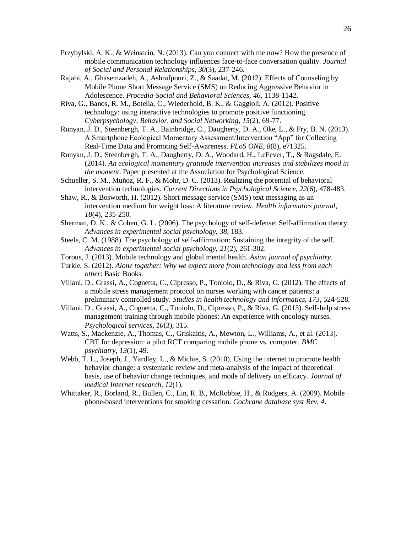- <span id="page-25-12"></span>Przybylski, A. K., & Weinstein, N. (2013). Can you connect with me now? How the presence of mobile communication technology influences face-to-face conversation quality. *Journal of Social and Personal Relationships, 30*(3), 237-246.
- <span id="page-25-13"></span>Rajabi, A., Ghasemzadeh, A., Ashrafpouri, Z., & Saadat, M. (2012). Effects of Counseling by Mobile Phone Short Message Service (SMS) on Reducing Aggressive Behavior in Adolescence. *Procedia-Social and Behavioral Sciences, 46*, 1138-1142.
- <span id="page-25-2"></span>Riva, G., Banos, R. M., Botella, C., Wiederhold, B. K., & Gaggioli, A. (2012). Positive technology: using interactive technologies to promote positive functioning. *Cyberpsychology, Behavior, and Social Networking, 15*(2), 69-77.
- <span id="page-25-6"></span>Runyan, J. D., Steenbergh, T. A., Bainbridge, C., Daugherty, D. A., Oke, L., & Fry, B. N. (2013). A Smartphone Ecological Momentary Assessment/Intervention "App" for Collecting Real-Time Data and Promoting Self-Awareness. *PLoS ONE, 8*(8), e71325.
- <span id="page-25-5"></span>Runyan, J. D., Steenbergh, T. A., Daugherty, D. A., Woodard, H., LeFever, T., & Ragsdale, E. (2014). *An ecological momentary gratitude intervention increases and stabilizes mood in the moment*. Paper presented at the Association for Psychological Science.
- <span id="page-25-3"></span>Schueller, S. M., Muñoz, R. F., & Mohr, D. C. (2013). Realizing the potential of behavioral intervention technologies. *Current Directions in Psychological Science, 22*(6), 478-483.
- <span id="page-25-0"></span>Shaw, R., & Bosworth, H. (2012). Short message service (SMS) text messaging as an intervention medium for weight loss: A literature review. *Health informatics journal, 18*(4), 235-250.
- <span id="page-25-9"></span>Sherman, D. K., & Cohen, G. L. (2006). The psychology of self-defense: Self-affirmation theory. *Advances in experimental social psychology, 38*, 183.
- <span id="page-25-10"></span>Steele, C. M. (1988). The psychology of self-affirmation: Sustaining the integrity of the self. *Advances in experimental social psychology, 21*(2), 261-302.
- <span id="page-25-15"></span>Torous, J. (2013). Mobile technology and global mental health. *Asian journal of psychiatry*.
- <span id="page-25-11"></span>Turkle, S. (2012). *Alone together: Why we expect more from technology and less from each other*: Basic Books.
- <span id="page-25-7"></span>Villani, D., Grassi, A., Cognetta, C., Cipresso, P., Toniolo, D., & Riva, G. (2012). The effects of a mobile stress management protocol on nurses working with cancer patients: a preliminary controlled study. *Studies in health technology and informatics, 173*, 524-528.
- <span id="page-25-8"></span>Villani, D., Grassi, A., Cognetta, C., Toniolo, D., Cipresso, P., & Riva, G. (2013). Self-help stress management training through mobile phones: An experience with oncology nurses. *Psychological services, 10*(3), 315.
- <span id="page-25-4"></span>Watts, S., Mackenzie, A., Thomas, C., Griskaitis, A., Mewton, L., Williams, A., et al. (2013). CBT for depression: a pilot RCT comparing mobile phone vs. computer. *BMC psychiatry, 13*(1), 49.
- <span id="page-25-14"></span>Webb, T. L., Joseph, J., Yardley, L., & Michie, S. (2010). Using the internet to promote health behavior change: a systematic review and meta-analysis of the impact of theoretical basis, use of behavior change techniques, and mode of delivery on efficacy. *Journal of medical Internet research, 12*(1).
- <span id="page-25-1"></span>Whittaker, R., Borland, R., Bullen, C., Lin, R. B., McRobbie, H., & Rodgers, A. (2009). Mobile phone-based interventions for smoking cessation. *Cochrane database syst Rev, 4*.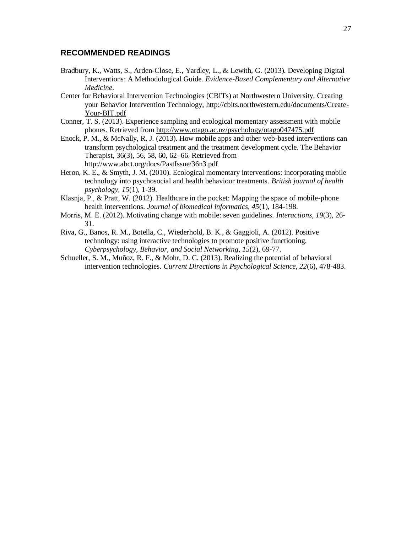#### **RECOMMENDED READINGS**

- Bradbury, K., Watts, S., Arden-Close, E., Yardley, L., & Lewith, G. (2013). Developing Digital Interventions: A Methodological Guide. *Evidence-Based Complementary and Alternative Medicine*.
- Center for Behavioral Intervention Technologies (CBITs) at Northwestern University, Creating your Behavior Intervention Technology, http://cbits.northwestern.edu/documents/Create-Your-BIT.pdf
- Conner, T. S. (2013). Experience sampling and ecological momentary assessment with mobile phones. Retrieved from<http://www.otago.ac.nz/psychology/otago047475.pdf>
- Enock, P. M., & McNally, R. J. (2013). How mobile apps and other web-based interventions can transform psychological treatment and the treatment development cycle. The Behavior Therapist, 36(3), 56, 58, 60, 62–66. Retrieved from http://www.abct.org/docs/PastIssue/36n3.pdf
- Heron, K. E., & Smyth, J. M. (2010). Ecological momentary interventions: incorporating mobile technology into psychosocial and health behaviour treatments. *British journal of health psychology, 15*(1), 1-39.
- Klasnja, P., & Pratt, W. (2012). Healthcare in the pocket: Mapping the space of mobile-phone health interventions. *Journal of biomedical informatics, 45*(1), 184-198.
- Morris, M. E. (2012). Motivating change with mobile: seven guidelines. *Interactions, 19*(3), 26- 31.
- Riva, G., Banos, R. M., Botella, C., Wiederhold, B. K., & Gaggioli, A. (2012). Positive technology: using interactive technologies to promote positive functioning. *Cyberpsychology, Behavior, and Social Networking, 15*(2), 69-77.
- Schueller, S. M., Muñoz, R. F., & Mohr, D. C. (2013). Realizing the potential of behavioral intervention technologies. *Current Directions in Psychological Science, 22*(6), 478-483.